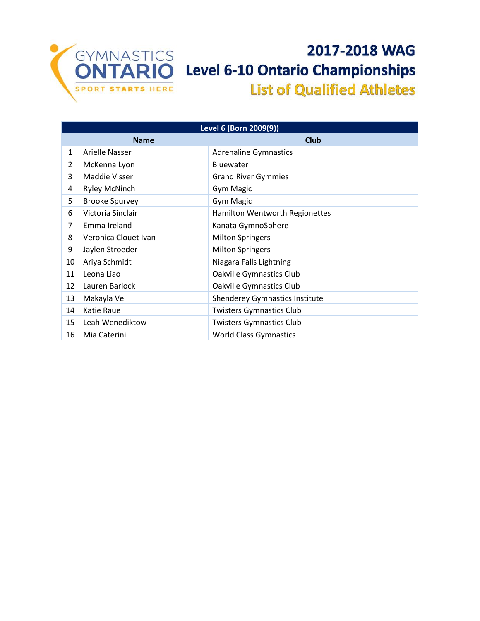

## 2017-2018 WAG **Level 6-10 Ontario Championships List of Qualified Athletes**

| Level 6 (Born 2009(9)) |                            |                                 |  |  |
|------------------------|----------------------------|---------------------------------|--|--|
|                        | <b>Club</b><br><b>Name</b> |                                 |  |  |
| $\mathbf{1}$           | Arielle Nasser             | <b>Adrenaline Gymnastics</b>    |  |  |
| 2                      | McKenna Lyon               | Bluewater                       |  |  |
| 3                      | <b>Maddie Visser</b>       | <b>Grand River Gymmies</b>      |  |  |
| 4                      | <b>Ryley McNinch</b>       | <b>Gym Magic</b>                |  |  |
| 5                      | <b>Brooke Spurvey</b>      | <b>Gym Magic</b>                |  |  |
| 6                      | Victoria Sinclair          | Hamilton Wentworth Regionettes  |  |  |
| 7                      | Emma Ireland               | Kanata GymnoSphere              |  |  |
| 8                      | Veronica Clouet Ivan       | <b>Milton Springers</b>         |  |  |
| 9                      | Jaylen Stroeder            | <b>Milton Springers</b>         |  |  |
| 10                     | Ariya Schmidt              | Niagara Falls Lightning         |  |  |
| 11                     | Leona Liao                 | Oakville Gymnastics Club        |  |  |
| 12                     | Lauren Barlock             | Oakville Gymnastics Club        |  |  |
| 13                     | Makayla Veli               | Shenderey Gymnastics Institute  |  |  |
| 14                     | Katie Raue                 | <b>Twisters Gymnastics Club</b> |  |  |
| 15                     | Leah Wenediktow            | <b>Twisters Gymnastics Club</b> |  |  |
| 16                     | Mia Caterini               | <b>World Class Gymnastics</b>   |  |  |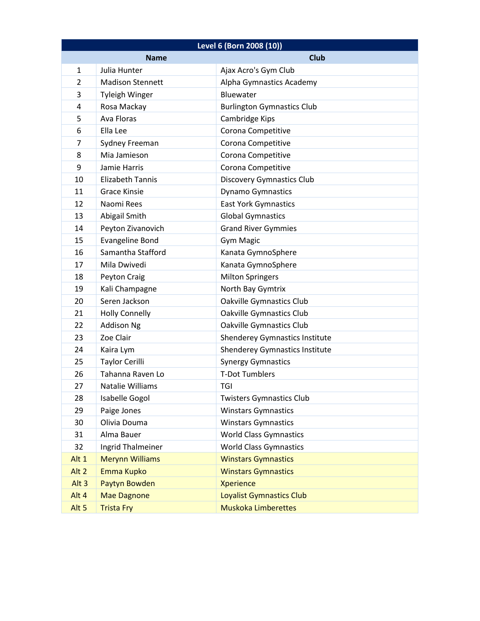| Level 6 (Born 2008 (10)) |                         |                                       |
|--------------------------|-------------------------|---------------------------------------|
|                          | <b>Name</b>             | <b>Club</b>                           |
| $\mathbf{1}$             | Julia Hunter            | Ajax Acro's Gym Club                  |
| $\overline{2}$           | <b>Madison Stennett</b> | Alpha Gymnastics Academy              |
| 3                        | <b>Tyleigh Winger</b>   | Bluewater                             |
| $\overline{4}$           | Rosa Mackay             | <b>Burlington Gymnastics Club</b>     |
| 5                        | <b>Ava Floras</b>       | Cambridge Kips                        |
| 6                        | Ella Lee                | Corona Competitive                    |
| $\overline{7}$           | Sydney Freeman          | Corona Competitive                    |
| 8                        | Mia Jamieson            | Corona Competitive                    |
| 9                        | Jamie Harris            | Corona Competitive                    |
| 10                       | <b>Elizabeth Tannis</b> | <b>Discovery Gymnastics Club</b>      |
| 11                       | <b>Grace Kinsie</b>     | <b>Dynamo Gymnastics</b>              |
| 12                       | Naomi Rees              | <b>East York Gymnastics</b>           |
| 13                       | Abigail Smith           | <b>Global Gymnastics</b>              |
| 14                       | Peyton Zivanovich       | <b>Grand River Gymmies</b>            |
| 15                       | <b>Evangeline Bond</b>  | <b>Gym Magic</b>                      |
| 16                       | Samantha Stafford       | Kanata GymnoSphere                    |
| 17                       | Mila Dwivedi            | Kanata GymnoSphere                    |
| 18                       | Peyton Craig            | <b>Milton Springers</b>               |
| 19                       | Kali Champagne          | North Bay Gymtrix                     |
| 20                       | Seren Jackson           | Oakville Gymnastics Club              |
| 21                       | <b>Holly Connelly</b>   | Oakville Gymnastics Club              |
| 22                       | <b>Addison Ng</b>       | Oakville Gymnastics Club              |
| 23                       | Zoe Clair               | <b>Shenderey Gymnastics Institute</b> |
| 24                       | Kaira Lym               | <b>Shenderey Gymnastics Institute</b> |
| 25                       | <b>Taylor Cerilli</b>   | <b>Synergy Gymnastics</b>             |
| 26                       | Tahanna Raven Lo        | <b>T-Dot Tumblers</b>                 |
| 27                       | Natalie Williams        | TGI                                   |
| 28                       | Isabelle Gogol          | <b>Twisters Gymnastics Club</b>       |
| 29                       | Paige Jones             | <b>Winstars Gymnastics</b>            |
| 30                       | Olivia Douma            | <b>Winstars Gymnastics</b>            |
| 31                       | Alma Bauer              | <b>World Class Gymnastics</b>         |
| 32                       | Ingrid Thalmeiner       | <b>World Class Gymnastics</b>         |
| Alt 1                    | <b>Merynn Williams</b>  | <b>Winstars Gymnastics</b>            |
| Alt <sub>2</sub>         | <b>Emma Kupko</b>       | <b>Winstars Gymnastics</b>            |
| Alt <sub>3</sub>         | Paytyn Bowden           | <b>Xperience</b>                      |
| Alt 4                    | <b>Mae Dagnone</b>      | Loyalist Gymnastics Club              |
| Alt <sub>5</sub>         | <b>Trista Fry</b>       | <b>Muskoka Limberettes</b>            |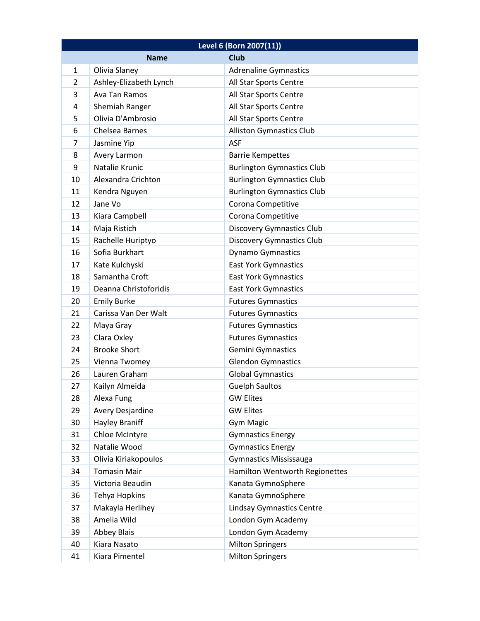| Level 6 (Born 2007(11)) |                            |                                       |  |  |
|-------------------------|----------------------------|---------------------------------------|--|--|
|                         | <b>Club</b><br><b>Name</b> |                                       |  |  |
| $\mathbf{1}$            | Olivia Slaney              | <b>Adrenaline Gymnastics</b>          |  |  |
| 2                       | Ashley-Elizabeth Lynch     | All Star Sports Centre                |  |  |
| 3                       | Ava Tan Ramos              | All Star Sports Centre                |  |  |
| 4                       | Shemiah Ranger             | All Star Sports Centre                |  |  |
| 5                       | Olivia D'Ambrosio          | All Star Sports Centre                |  |  |
| 6                       | Chelsea Barnes             | <b>Alliston Gymnastics Club</b>       |  |  |
| 7                       | Jasmine Yip                | <b>ASF</b>                            |  |  |
| 8                       | Avery Larmon               | <b>Barrie Kempettes</b>               |  |  |
| 9                       | Natalie Krunic             | <b>Burlington Gymnastics Club</b>     |  |  |
| 10                      | Alexandra Crichton         | <b>Burlington Gymnastics Club</b>     |  |  |
| 11                      | Kendra Nguyen              | <b>Burlington Gymnastics Club</b>     |  |  |
| 12                      | Jane Vo                    | Corona Competitive                    |  |  |
| 13                      | Kiara Campbell             | Corona Competitive                    |  |  |
| 14                      | Maja Ristich               | <b>Discovery Gymnastics Club</b>      |  |  |
| 15                      | Rachelle Huriptyo          | <b>Discovery Gymnastics Club</b>      |  |  |
| 16                      | Sofia Burkhart             | <b>Dynamo Gymnastics</b>              |  |  |
| 17                      | Kate Kulchyski             | <b>East York Gymnastics</b>           |  |  |
| 18                      | Samantha Croft             | <b>East York Gymnastics</b>           |  |  |
| 19                      | Deanna Christoforidis      | <b>East York Gymnastics</b>           |  |  |
| 20                      | <b>Emily Burke</b>         | <b>Futures Gymnastics</b>             |  |  |
| 21                      | Carissa Van Der Walt       | <b>Futures Gymnastics</b>             |  |  |
| 22                      | Maya Gray                  | <b>Futures Gymnastics</b>             |  |  |
| 23                      | Clara Oxley                | <b>Futures Gymnastics</b>             |  |  |
| 24                      | <b>Brooke Short</b>        | Gemini Gymnastics                     |  |  |
| 25                      | Vienna Twomey              | <b>Glendon Gymnastics</b>             |  |  |
| 26                      | Lauren Graham              | <b>Global Gymnastics</b>              |  |  |
| 27                      | Kailyn Almeida             | <b>Guelph Saultos</b>                 |  |  |
| 28                      | Alexa Fung                 | <b>GW Elites</b>                      |  |  |
| 29                      | Avery Desjardine           | <b>GW Elites</b>                      |  |  |
| 30                      | <b>Hayley Braniff</b>      | <b>Gym Magic</b>                      |  |  |
| 31                      | Chloe McIntyre             | <b>Gymnastics Energy</b>              |  |  |
| 32                      | Natalie Wood               | <b>Gymnastics Energy</b>              |  |  |
| 33                      | Olivia Kiriakopoulos       | <b>Gymnastics Mississauga</b>         |  |  |
| 34                      | <b>Tomasin Mair</b>        | <b>Hamilton Wentworth Regionettes</b> |  |  |
| 35                      | Victoria Beaudin           | Kanata GymnoSphere                    |  |  |
| 36                      | Tehya Hopkins              | Kanata GymnoSphere                    |  |  |
| 37                      | Makayla Herlihey           | <b>Lindsay Gymnastics Centre</b>      |  |  |
| 38                      | Amelia Wild                | London Gym Academy                    |  |  |
| 39                      | <b>Abbey Blais</b>         | London Gym Academy                    |  |  |
| 40                      | Kiara Nasato               | <b>Milton Springers</b>               |  |  |
| 41                      | Kiara Pimentel             | <b>Milton Springers</b>               |  |  |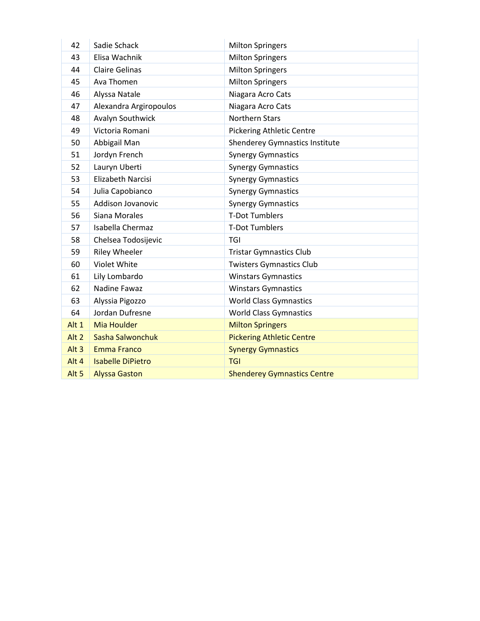| 42               | Sadie Schack             | <b>Milton Springers</b>               |
|------------------|--------------------------|---------------------------------------|
| 43               | Elisa Wachnik            | <b>Milton Springers</b>               |
| 44               | <b>Claire Gelinas</b>    | <b>Milton Springers</b>               |
| 45               | Ava Thomen               | <b>Milton Springers</b>               |
| 46               | Alyssa Natale            | Niagara Acro Cats                     |
| 47               | Alexandra Argiropoulos   | Niagara Acro Cats                     |
| 48               | Avalyn Southwick         | Northern Stars                        |
| 49               | Victoria Romani          | <b>Pickering Athletic Centre</b>      |
| 50               | Abbigail Man             | <b>Shenderey Gymnastics Institute</b> |
| 51               | Jordyn French            | <b>Synergy Gymnastics</b>             |
| 52               | Lauryn Uberti            | <b>Synergy Gymnastics</b>             |
| 53               | <b>Elizabeth Narcisi</b> | <b>Synergy Gymnastics</b>             |
| 54               | Julia Capobianco         | <b>Synergy Gymnastics</b>             |
| 55               | <b>Addison Jovanovic</b> | <b>Synergy Gymnastics</b>             |
| 56               | Siana Morales            | <b>T-Dot Tumblers</b>                 |
| 57               | Isabella Chermaz         | <b>T-Dot Tumblers</b>                 |
| 58               | Chelsea Todosijevic      | TGI                                   |
| 59               | <b>Riley Wheeler</b>     | <b>Tristar Gymnastics Club</b>        |
| 60               | Violet White             | <b>Twisters Gymnastics Club</b>       |
| 61               | Lily Lombardo            | <b>Winstars Gymnastics</b>            |
| 62               | Nadine Fawaz             | <b>Winstars Gymnastics</b>            |
| 63               | Alyssia Pigozzo          | <b>World Class Gymnastics</b>         |
| 64               | Jordan Dufresne          | <b>World Class Gymnastics</b>         |
| Alt 1            | <b>Mia Houlder</b>       | <b>Milton Springers</b>               |
| Alt <sub>2</sub> | Sasha Salwonchuk         | <b>Pickering Athletic Centre</b>      |
| Alt <sub>3</sub> | <b>Emma Franco</b>       | <b>Synergy Gymnastics</b>             |
| Alt 4            | <b>Isabelle DiPietro</b> | <b>TGI</b>                            |
| Alt <sub>5</sub> | <b>Alyssa Gaston</b>     | <b>Shenderey Gymnastics Centre</b>    |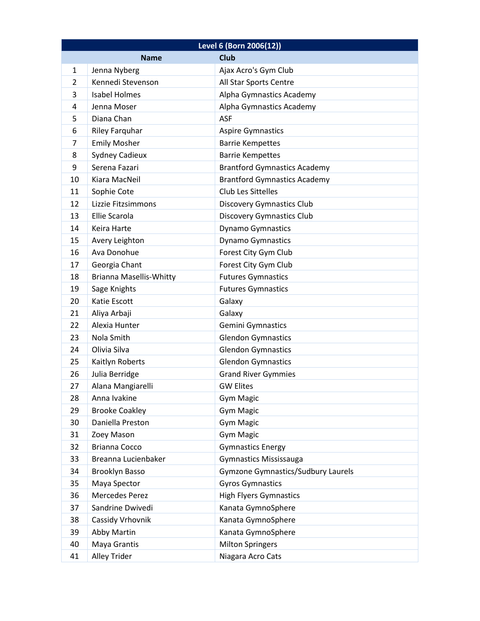| Level 6 (Born 2006(12)) |                                |                                           |
|-------------------------|--------------------------------|-------------------------------------------|
|                         | <b>Name</b>                    | <b>Club</b>                               |
| $\mathbf{1}$            | Jenna Nyberg                   | Ajax Acro's Gym Club                      |
| 2                       | Kennedi Stevenson              | All Star Sports Centre                    |
| 3                       | <b>Isabel Holmes</b>           | Alpha Gymnastics Academy                  |
| 4                       | Jenna Moser                    | Alpha Gymnastics Academy                  |
| 5                       | Diana Chan                     | <b>ASF</b>                                |
| 6                       | <b>Riley Farquhar</b>          | <b>Aspire Gymnastics</b>                  |
| 7                       | <b>Emily Mosher</b>            | <b>Barrie Kempettes</b>                   |
| 8                       | <b>Sydney Cadieux</b>          | <b>Barrie Kempettes</b>                   |
| 9                       | Serena Fazari                  | <b>Brantford Gymnastics Academy</b>       |
| 10                      | Kiara MacNeil                  | <b>Brantford Gymnastics Academy</b>       |
| 11                      | Sophie Cote                    | <b>Club Les Sittelles</b>                 |
| 12                      | Lizzie Fitzsimmons             | <b>Discovery Gymnastics Club</b>          |
| 13                      | Ellie Scarola                  | <b>Discovery Gymnastics Club</b>          |
| 14                      | Keira Harte                    | <b>Dynamo Gymnastics</b>                  |
| 15                      | Avery Leighton                 | <b>Dynamo Gymnastics</b>                  |
| 16                      | Ava Donohue                    | Forest City Gym Club                      |
| 17                      | Georgia Chant                  | Forest City Gym Club                      |
| 18                      | <b>Brianna Masellis-Whitty</b> | <b>Futures Gymnastics</b>                 |
| 19                      | Sage Knights                   | <b>Futures Gymnastics</b>                 |
| 20                      | Katie Escott                   | Galaxy                                    |
| 21                      | Aliya Arbaji                   | Galaxy                                    |
| 22                      | Alexia Hunter                  | Gemini Gymnastics                         |
| 23                      | Nola Smith                     | <b>Glendon Gymnastics</b>                 |
| 24                      | Olivia Silva                   | <b>Glendon Gymnastics</b>                 |
| 25                      | Kaitlyn Roberts                | <b>Glendon Gymnastics</b>                 |
| 26                      | Julia Berridge                 | <b>Grand River Gymmies</b>                |
| 27                      | Alana Mangiarelli              | <b>GW Elites</b>                          |
| 28                      | Anna Ivakine                   | <b>Gym Magic</b>                          |
| 29                      | <b>Brooke Coakley</b>          | <b>Gym Magic</b>                          |
| 30                      | Daniella Preston               | Gym Magic                                 |
| 31                      | Zoey Mason                     | <b>Gym Magic</b>                          |
| 32                      | Brianna Cocco                  | <b>Gymnastics Energy</b>                  |
| 33                      | Breanna Lucienbaker            | <b>Gymnastics Mississauga</b>             |
| 34                      | <b>Brooklyn Basso</b>          | <b>Gymzone Gymnastics/Sudbury Laurels</b> |
| 35                      | Maya Spector                   | <b>Gyros Gymnastics</b>                   |
| 36                      | Mercedes Perez                 | <b>High Flyers Gymnastics</b>             |
| 37                      | Sandrine Dwivedi               | Kanata GymnoSphere                        |
| 38                      | Cassidy Vrhovnik               | Kanata GymnoSphere                        |
| 39                      | Abby Martin                    | Kanata GymnoSphere                        |
| 40                      | Maya Grantis                   | <b>Milton Springers</b>                   |
| 41                      | Alley Trider                   | Niagara Acro Cats                         |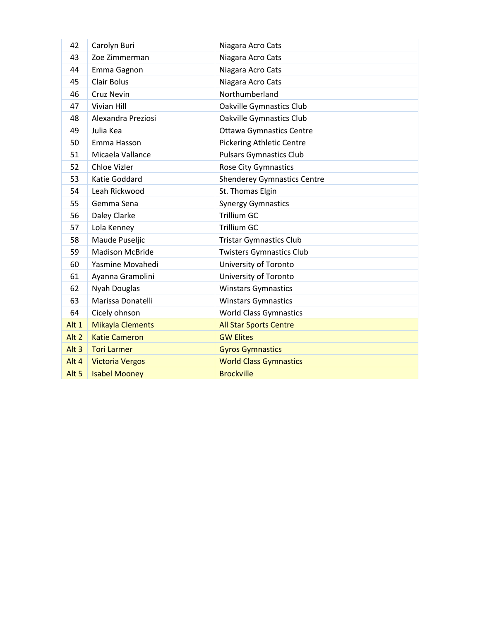| 42               | Carolyn Buri            | Niagara Acro Cats                  |
|------------------|-------------------------|------------------------------------|
| 43               | Zoe Zimmerman           | Niagara Acro Cats                  |
| 44               | Emma Gagnon             | Niagara Acro Cats                  |
| 45               | <b>Clair Bolus</b>      | Niagara Acro Cats                  |
| 46               | Cruz Nevin              | Northumberland                     |
| 47               | Vivian Hill             | <b>Oakville Gymnastics Club</b>    |
| 48               | Alexandra Preziosi      | <b>Oakville Gymnastics Club</b>    |
| 49               | Julia Kea               | <b>Ottawa Gymnastics Centre</b>    |
| 50               | Emma Hasson             | <b>Pickering Athletic Centre</b>   |
| 51               | Micaela Vallance        | <b>Pulsars Gymnastics Club</b>     |
| 52               | Chloe Vizler            | <b>Rose City Gymnastics</b>        |
| 53               | Katie Goddard           | <b>Shenderey Gymnastics Centre</b> |
| 54               | Leah Rickwood           | St. Thomas Elgin                   |
| 55               | Gemma Sena              | <b>Synergy Gymnastics</b>          |
| 56               | Daley Clarke            | Trillium GC                        |
| 57               | Lola Kenney             | Trillium GC                        |
| 58               | Maude Puseljic          | <b>Tristar Gymnastics Club</b>     |
| 59               | <b>Madison McBride</b>  | <b>Twisters Gymnastics Club</b>    |
| 60               | Yasmine Movahedi        | University of Toronto              |
| 61               | Ayanna Gramolini        | University of Toronto              |
| 62               | Nyah Douglas            | <b>Winstars Gymnastics</b>         |
| 63               | Marissa Donatelli       | <b>Winstars Gymnastics</b>         |
| 64               | Cicely ohnson           | <b>World Class Gymnastics</b>      |
| Alt 1            | <b>Mikayla Clements</b> | <b>All Star Sports Centre</b>      |
| Alt <sub>2</sub> | <b>Katie Cameron</b>    | <b>GW Elites</b>                   |
| Alt $3$          | <b>Tori Larmer</b>      | <b>Gyros Gymnastics</b>            |
| Alt 4            | <b>Victoria Vergos</b>  | <b>World Class Gymnastics</b>      |
| Alt <sub>5</sub> | <b>Isabel Mooney</b>    | <b>Brockville</b>                  |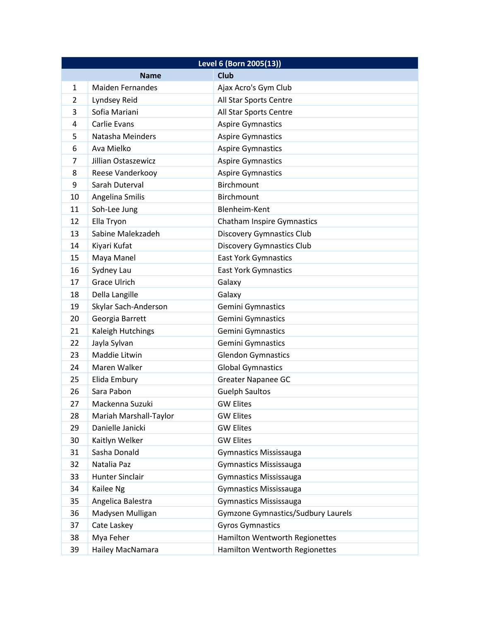| Level 6 (Born 2005(13))    |                         |                                           |
|----------------------------|-------------------------|-------------------------------------------|
| <b>Club</b><br><b>Name</b> |                         |                                           |
| $\mathbf{1}$               | <b>Maiden Fernandes</b> | Ajax Acro's Gym Club                      |
| 2                          | Lyndsey Reid            | All Star Sports Centre                    |
| 3                          | Sofia Mariani           | All Star Sports Centre                    |
| 4                          | Carlie Evans            | <b>Aspire Gymnastics</b>                  |
| 5                          | Natasha Meinders        | <b>Aspire Gymnastics</b>                  |
| 6                          | Ava Mielko              | <b>Aspire Gymnastics</b>                  |
| 7                          | Jillian Ostaszewicz     | <b>Aspire Gymnastics</b>                  |
| 8                          | Reese Vanderkooy        | <b>Aspire Gymnastics</b>                  |
| 9                          | Sarah Duterval          | Birchmount                                |
| 10                         | Angelina Smilis         | Birchmount                                |
| 11                         | Soh-Lee Jung            | Blenheim-Kent                             |
| 12                         | Ella Tryon              | Chatham Inspire Gymnastics                |
| 13                         | Sabine Malekzadeh       | <b>Discovery Gymnastics Club</b>          |
| 14                         | Kiyari Kufat            | <b>Discovery Gymnastics Club</b>          |
| 15                         | Maya Manel              | <b>East York Gymnastics</b>               |
| 16                         | Sydney Lau              | <b>East York Gymnastics</b>               |
| 17                         | <b>Grace Ulrich</b>     | Galaxy                                    |
| 18                         | Della Langille          | Galaxy                                    |
| 19                         | Skylar Sach-Anderson    | Gemini Gymnastics                         |
| 20                         | Georgia Barrett         | Gemini Gymnastics                         |
| 21                         | Kaleigh Hutchings       | Gemini Gymnastics                         |
| 22                         | Jayla Sylvan            | Gemini Gymnastics                         |
| 23                         | Maddie Litwin           | <b>Glendon Gymnastics</b>                 |
| 24                         | Maren Walker            | <b>Global Gymnastics</b>                  |
| 25                         | Elida Embury            | <b>Greater Napanee GC</b>                 |
| 26                         | Sara Pabon              | <b>Guelph Saultos</b>                     |
| 27                         | Mackenna Suzuki         | <b>GW Elites</b>                          |
| 28                         | Mariah Marshall-Taylor  | <b>GW Elites</b>                          |
| 29                         | Danielle Janicki        | <b>GW Elites</b>                          |
| 30                         | Kaitlyn Welker          | <b>GW Elites</b>                          |
| 31                         | Sasha Donald            | <b>Gymnastics Mississauga</b>             |
| 32                         | Natalia Paz             | <b>Gymnastics Mississauga</b>             |
| 33                         | <b>Hunter Sinclair</b>  | <b>Gymnastics Mississauga</b>             |
| 34                         | Kailee Ng               | Gymnastics Mississauga                    |
| 35                         | Angelica Balestra       | <b>Gymnastics Mississauga</b>             |
| 36                         | Madysen Mulligan        | <b>Gymzone Gymnastics/Sudbury Laurels</b> |
| 37                         | Cate Laskey             | <b>Gyros Gymnastics</b>                   |
| 38                         | Mya Feher               | Hamilton Wentworth Regionettes            |
| 39                         | Hailey MacNamara        | Hamilton Wentworth Regionettes            |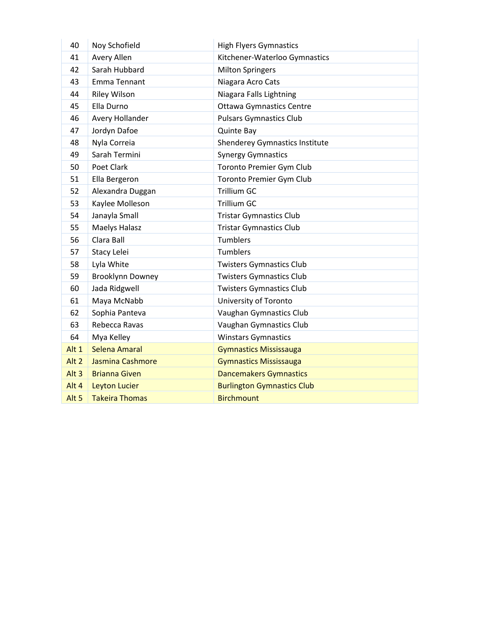| 40               | Noy Schofield           | <b>High Flyers Gymnastics</b>         |
|------------------|-------------------------|---------------------------------------|
| 41               | Avery Allen             | Kitchener-Waterloo Gymnastics         |
| 42               | Sarah Hubbard           | <b>Milton Springers</b>               |
| 43               | Emma Tennant            | Niagara Acro Cats                     |
| 44               | <b>Riley Wilson</b>     | Niagara Falls Lightning               |
| 45               | Ella Durno              | <b>Ottawa Gymnastics Centre</b>       |
| 46               | Avery Hollander         | <b>Pulsars Gymnastics Club</b>        |
| 47               | Jordyn Dafoe            | <b>Quinte Bay</b>                     |
| 48               | Nyla Correia            | <b>Shenderey Gymnastics Institute</b> |
| 49               | Sarah Termini           | <b>Synergy Gymnastics</b>             |
| 50               | Poet Clark              | Toronto Premier Gym Club              |
| 51               | Ella Bergeron           | Toronto Premier Gym Club              |
| 52               | Alexandra Duggan        | <b>Trillium GC</b>                    |
| 53               | Kaylee Molleson         | <b>Trillium GC</b>                    |
| 54               | Janayla Small           | <b>Tristar Gymnastics Club</b>        |
| 55               | <b>Maelys Halasz</b>    | <b>Tristar Gymnastics Club</b>        |
| 56               | Clara Ball              | <b>Tumblers</b>                       |
| 57               | Stacy Lelei             | <b>Tumblers</b>                       |
| 58               | Lyla White              | <b>Twisters Gymnastics Club</b>       |
| 59               | <b>Brooklynn Downey</b> | <b>Twisters Gymnastics Club</b>       |
| 60               | Jada Ridgwell           | <b>Twisters Gymnastics Club</b>       |
| 61               | Maya McNabb             | University of Toronto                 |
| 62               | Sophia Panteva          | Vaughan Gymnastics Club               |
| 63               | Rebecca Ravas           | Vaughan Gymnastics Club               |
| 64               | Mya Kelley              | <b>Winstars Gymnastics</b>            |
| Alt 1            | Selena Amaral           | <b>Gymnastics Mississauga</b>         |
| Alt <sub>2</sub> | Jasmina Cashmore        | <b>Gymnastics Mississauga</b>         |
| Alt <sub>3</sub> | <b>Brianna Given</b>    | <b>Dancemakers Gymnastics</b>         |
| Alt 4            | <b>Leyton Lucier</b>    | <b>Burlington Gymnastics Club</b>     |
| Alt <sub>5</sub> | <b>Takeira Thomas</b>   | <b>Birchmount</b>                     |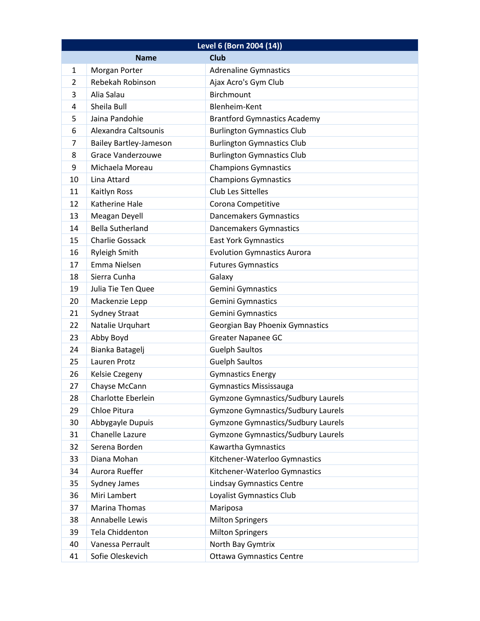| Level 6 (Born 2004 (14))   |                               |                                           |
|----------------------------|-------------------------------|-------------------------------------------|
| <b>Club</b><br><b>Name</b> |                               |                                           |
| $\mathbf{1}$               | Morgan Porter                 | <b>Adrenaline Gymnastics</b>              |
| 2                          | Rebekah Robinson              | Ajax Acro's Gym Club                      |
| 3                          | Alia Salau                    | <b>Birchmount</b>                         |
| 4                          | Sheila Bull                   | Blenheim-Kent                             |
| 5                          | Jaina Pandohie                | <b>Brantford Gymnastics Academy</b>       |
| 6                          | Alexandra Caltsounis          | <b>Burlington Gymnastics Club</b>         |
| 7                          | <b>Bailey Bartley-Jameson</b> | <b>Burlington Gymnastics Club</b>         |
| 8                          | <b>Grace Vanderzouwe</b>      | <b>Burlington Gymnastics Club</b>         |
| 9                          | Michaela Moreau               | <b>Champions Gymnastics</b>               |
| 10                         | Lina Attard                   | <b>Champions Gymnastics</b>               |
| 11                         | Kaitlyn Ross                  | Club Les Sittelles                        |
| 12                         | Katherine Hale                | Corona Competitive                        |
| 13                         | Meagan Deyell                 | Dancemakers Gymnastics                    |
| 14                         | <b>Bella Sutherland</b>       | Dancemakers Gymnastics                    |
| 15                         | <b>Charlie Gossack</b>        | <b>East York Gymnastics</b>               |
| 16                         | <b>Ryleigh Smith</b>          | <b>Evolution Gymnastics Aurora</b>        |
| 17                         | Emma Nielsen                  | <b>Futures Gymnastics</b>                 |
| 18                         | Sierra Cunha                  | Galaxy                                    |
| 19                         | Julia Tie Ten Quee            | Gemini Gymnastics                         |
| 20                         | Mackenzie Lepp                | <b>Gemini Gymnastics</b>                  |
| 21                         | <b>Sydney Straat</b>          | Gemini Gymnastics                         |
| 22                         | Natalie Urquhart              | Georgian Bay Phoenix Gymnastics           |
| 23                         | Abby Boyd                     | <b>Greater Napanee GC</b>                 |
| 24                         | Bianka Batagelj               | <b>Guelph Saultos</b>                     |
| 25                         | Lauren Protz                  | <b>Guelph Saultos</b>                     |
| 26                         | Kelsie Czegeny                | <b>Gymnastics Energy</b>                  |
| 27                         | Chayse McCann                 | <b>Gymnastics Mississauga</b>             |
| 28                         | Charlotte Eberlein            | <b>Gymzone Gymnastics/Sudbury Laurels</b> |
| 29                         | Chloe Pitura                  | <b>Gymzone Gymnastics/Sudbury Laurels</b> |
| 30                         | Abbygayle Dupuis              | <b>Gymzone Gymnastics/Sudbury Laurels</b> |
| 31                         | Chanelle Lazure               | <b>Gymzone Gymnastics/Sudbury Laurels</b> |
| 32                         | Serena Borden                 | Kawartha Gymnastics                       |
| 33                         | Diana Mohan                   | Kitchener-Waterloo Gymnastics             |
| 34                         | Aurora Rueffer                | Kitchener-Waterloo Gymnastics             |
| 35                         | Sydney James                  | <b>Lindsay Gymnastics Centre</b>          |
| 36                         | Miri Lambert                  | Loyalist Gymnastics Club                  |
| 37                         | Marina Thomas                 | Mariposa                                  |
| 38                         | Annabelle Lewis               | <b>Milton Springers</b>                   |
| 39                         | Tela Chiddenton               | <b>Milton Springers</b>                   |
| 40                         | Vanessa Perrault              | North Bay Gymtrix                         |
| 41                         | Sofie Oleskevich              | <b>Ottawa Gymnastics Centre</b>           |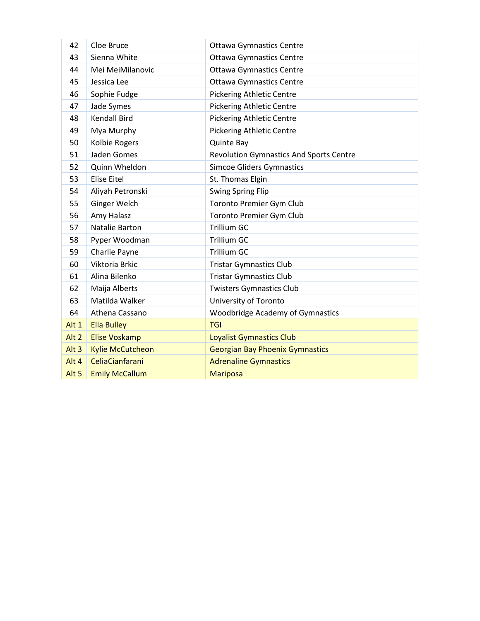| 42               | Cloe Bruce              | <b>Ottawa Gymnastics Centre</b>                |
|------------------|-------------------------|------------------------------------------------|
| 43               | Sienna White            | <b>Ottawa Gymnastics Centre</b>                |
| 44               | Mei MeiMilanovic        | <b>Ottawa Gymnastics Centre</b>                |
| 45               | Jessica Lee             | <b>Ottawa Gymnastics Centre</b>                |
| 46               | Sophie Fudge            | <b>Pickering Athletic Centre</b>               |
| 47               | Jade Symes              | <b>Pickering Athletic Centre</b>               |
| 48               | <b>Kendall Bird</b>     | <b>Pickering Athletic Centre</b>               |
| 49               | Mya Murphy              | <b>Pickering Athletic Centre</b>               |
| 50               | Kolbie Rogers           | <b>Quinte Bay</b>                              |
| 51               | Jaden Gomes             | <b>Revolution Gymnastics And Sports Centre</b> |
| 52               | Quinn Wheldon           | <b>Simcoe Gliders Gymnastics</b>               |
| 53               | <b>Elise Eitel</b>      | St. Thomas Elgin                               |
| 54               | Aliyah Petronski        | <b>Swing Spring Flip</b>                       |
| 55               | Ginger Welch            | Toronto Premier Gym Club                       |
| 56               | Amy Halasz              | Toronto Premier Gym Club                       |
| 57               | Natalie Barton          | <b>Trillium GC</b>                             |
| 58               | Pyper Woodman           | <b>Trillium GC</b>                             |
| 59               | Charlie Payne           | <b>Trillium GC</b>                             |
| 60               | Viktoria Brkic          | <b>Tristar Gymnastics Club</b>                 |
| 61               | Alina Bilenko           | <b>Tristar Gymnastics Club</b>                 |
| 62               | Maija Alberts           | <b>Twisters Gymnastics Club</b>                |
| 63               | Matilda Walker          | University of Toronto                          |
| 64               | Athena Cassano          | Woodbridge Academy of Gymnastics               |
| Alt 1            | <b>Ella Bulley</b>      | <b>TGI</b>                                     |
| Alt <sub>2</sub> | <b>Elise Voskamp</b>    | <b>Loyalist Gymnastics Club</b>                |
| Alt $3$          | <b>Kylie McCutcheon</b> | <b>Georgian Bay Phoenix Gymnastics</b>         |
| Alt 4            | <b>CeliaCianfarani</b>  | <b>Adrenaline Gymnastics</b>                   |
| Alt <sub>5</sub> | <b>Emily McCallum</b>   | <b>Mariposa</b>                                |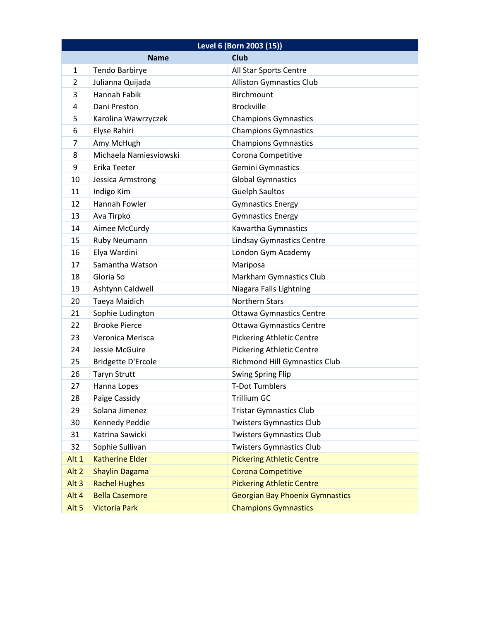| Level 6 (Born 2003 (15)) |                           |                                        |
|--------------------------|---------------------------|----------------------------------------|
|                          | <b>Name</b>               | <b>Club</b>                            |
| $\mathbf{1}$             | Tendo Barbirye            | All Star Sports Centre                 |
| 2                        | Julianna Quijada          | <b>Alliston Gymnastics Club</b>        |
| 3                        | Hannah Fabik              | Birchmount                             |
| 4                        | Dani Preston              | <b>Brockville</b>                      |
| 5                        | Karolina Wawrzyczek       | <b>Champions Gymnastics</b>            |
| 6                        | Elyse Rahiri              | <b>Champions Gymnastics</b>            |
| 7                        | Amy McHugh                | <b>Champions Gymnastics</b>            |
| 8                        | Michaela Namiesviowski    | Corona Competitive                     |
| 9                        | Erika Teeter              | Gemini Gymnastics                      |
| 10                       | Jessica Armstrong         | <b>Global Gymnastics</b>               |
| 11                       | Indigo Kim                | <b>Guelph Saultos</b>                  |
| 12                       | Hannah Fowler             | <b>Gymnastics Energy</b>               |
| 13                       | Ava Tirpko                | <b>Gymnastics Energy</b>               |
| 14                       | Aimee McCurdy             | Kawartha Gymnastics                    |
| 15                       | Ruby Neumann              | <b>Lindsay Gymnastics Centre</b>       |
| 16                       | Elya Wardini              | London Gym Academy                     |
| 17                       | Samantha Watson           | Mariposa                               |
| 18                       | Gloria So                 | Markham Gymnastics Club                |
| 19                       | Ashtynn Caldwell          | Niagara Falls Lightning                |
| 20                       | Taeya Maidich             | <b>Northern Stars</b>                  |
| 21                       | Sophie Ludington          | <b>Ottawa Gymnastics Centre</b>        |
| 22                       | <b>Brooke Pierce</b>      | <b>Ottawa Gymnastics Centre</b>        |
| 23                       | Veronica Merisca          | <b>Pickering Athletic Centre</b>       |
| 24                       | Jessie McGuire            | <b>Pickering Athletic Centre</b>       |
| 25                       | <b>Bridgette D'Ercole</b> | <b>Richmond Hill Gymnastics Club</b>   |
| 26                       | <b>Taryn Strutt</b>       | <b>Swing Spring Flip</b>               |
| 27                       | Hanna Lopes               | <b>T-Dot Tumblers</b>                  |
| 28                       | Paige Cassidy             | <b>Trillium GC</b>                     |
| 29                       | Solana Jimenez            | <b>Tristar Gymnastics Club</b>         |
| 30                       | Kennedy Peddie            | <b>Twisters Gymnastics Club</b>        |
| 31                       | Katrina Sawicki           | <b>Twisters Gymnastics Club</b>        |
| 32                       | Sophie Sullivan           | <b>Twisters Gymnastics Club</b>        |
| Alt 1                    | <b>Katherine Elder</b>    | <b>Pickering Athletic Centre</b>       |
| Alt <sub>2</sub>         | <b>Shaylin Dagama</b>     | <b>Corona Competitive</b>              |
| Alt <sub>3</sub>         | <b>Rachel Hughes</b>      | <b>Pickering Athletic Centre</b>       |
| Alt 4                    | <b>Bella Casemore</b>     | <b>Georgian Bay Phoenix Gymnastics</b> |
| Alt <sub>5</sub>         | <b>Victoria Park</b>      | <b>Champions Gymnastics</b>            |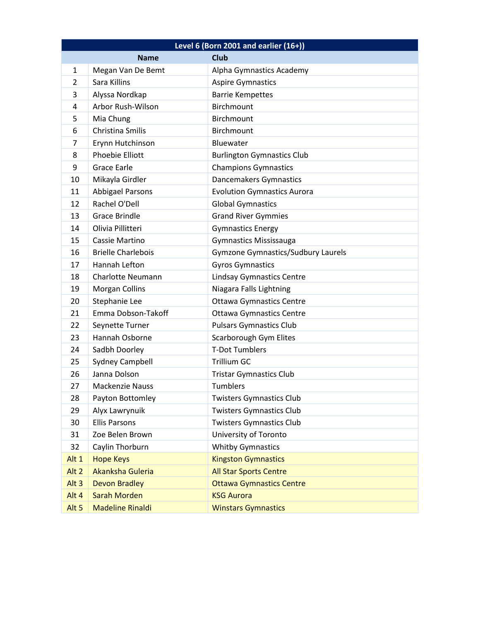| Level 6 (Born 2001 and earlier (16+)) |                            |                                           |  |
|---------------------------------------|----------------------------|-------------------------------------------|--|
|                                       | <b>Club</b><br><b>Name</b> |                                           |  |
| $\mathbf{1}$                          | Megan Van De Bemt          | Alpha Gymnastics Academy                  |  |
| 2                                     | Sara Killins               | <b>Aspire Gymnastics</b>                  |  |
| 3                                     | Alyssa Nordkap             | <b>Barrie Kempettes</b>                   |  |
| 4                                     | Arbor Rush-Wilson          | Birchmount                                |  |
| 5                                     | Mia Chung                  | Birchmount                                |  |
| 6                                     | Christina Smilis           | Birchmount                                |  |
| 7                                     | Erynn Hutchinson           | Bluewater                                 |  |
| 8                                     | Phoebie Elliott            | <b>Burlington Gymnastics Club</b>         |  |
| 9                                     | <b>Grace Earle</b>         | <b>Champions Gymnastics</b>               |  |
| 10                                    | Mikayla Girdler            | Dancemakers Gymnastics                    |  |
| 11                                    | <b>Abbigael Parsons</b>    | <b>Evolution Gymnastics Aurora</b>        |  |
| 12                                    | Rachel O'Dell              | <b>Global Gymnastics</b>                  |  |
| 13                                    | <b>Grace Brindle</b>       | <b>Grand River Gymmies</b>                |  |
| 14                                    | Olivia Pillitteri          | <b>Gymnastics Energy</b>                  |  |
| 15                                    | Cassie Martino             | <b>Gymnastics Mississauga</b>             |  |
| 16                                    | <b>Brielle Charlebois</b>  | <b>Gymzone Gymnastics/Sudbury Laurels</b> |  |
| 17                                    | Hannah Lefton              | <b>Gyros Gymnastics</b>                   |  |
| 18                                    | <b>Charlotte Neumann</b>   | <b>Lindsay Gymnastics Centre</b>          |  |
| 19                                    | <b>Morgan Collins</b>      | Niagara Falls Lightning                   |  |
| 20                                    | Stephanie Lee              | <b>Ottawa Gymnastics Centre</b>           |  |
| 21                                    | Emma Dobson-Takoff         | <b>Ottawa Gymnastics Centre</b>           |  |
| 22                                    | Seynette Turner            | <b>Pulsars Gymnastics Club</b>            |  |
| 23                                    | Hannah Osborne             | Scarborough Gym Elites                    |  |
| 24                                    | Sadbh Doorley              | <b>T-Dot Tumblers</b>                     |  |
| 25                                    | <b>Sydney Campbell</b>     | <b>Trillium GC</b>                        |  |
| 26                                    | Janna Dolson               | <b>Tristar Gymnastics Club</b>            |  |
| 27                                    | <b>Mackenzie Nauss</b>     | Tumblers                                  |  |
| 28                                    | Payton Bottomley           | <b>Twisters Gymnastics Club</b>           |  |
| 29                                    | Alyx Lawrynuik             | <b>Twisters Gymnastics Club</b>           |  |
| 30                                    | <b>Ellis Parsons</b>       | <b>Twisters Gymnastics Club</b>           |  |
| 31                                    | Zoe Belen Brown            | University of Toronto                     |  |
| 32                                    | Caylin Thorburn            | <b>Whitby Gymnastics</b>                  |  |
| Alt 1                                 | <b>Hope Keys</b>           | <b>Kingston Gymnastics</b>                |  |
| Alt <sub>2</sub>                      | Akanksha Guleria           | <b>All Star Sports Centre</b>             |  |
| Alt <sub>3</sub>                      | <b>Devon Bradley</b>       | <b>Ottawa Gymnastics Centre</b>           |  |
| Alt 4                                 | <b>Sarah Morden</b>        | <b>KSG Aurora</b>                         |  |
| Alt <sub>5</sub>                      | <b>Madeline Rinaldi</b>    | <b>Winstars Gymnastics</b>                |  |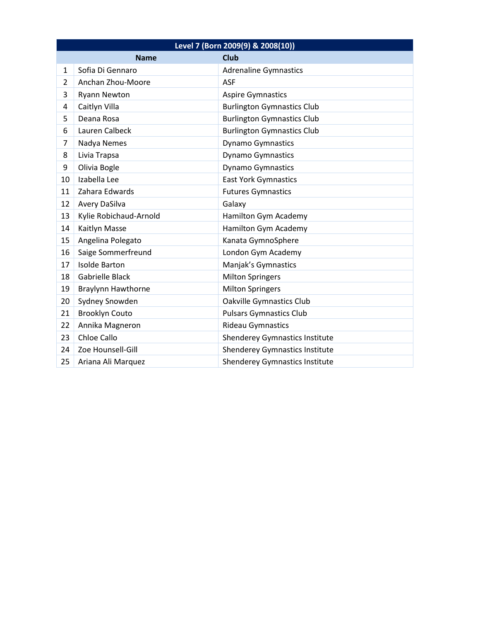| Level 7 (Born 2009(9) & 2008(10)) |                           |                                       |
|-----------------------------------|---------------------------|---------------------------------------|
|                                   | <b>Name</b>               | <b>Club</b>                           |
| $\mathbf{1}$                      | Sofia Di Gennaro          | <b>Adrenaline Gymnastics</b>          |
| $\overline{2}$                    | Anchan Zhou-Moore         | <b>ASF</b>                            |
| 3                                 | <b>Ryann Newton</b>       | <b>Aspire Gymnastics</b>              |
| 4                                 | Caitlyn Villa             | <b>Burlington Gymnastics Club</b>     |
| 5                                 | Deana Rosa                | <b>Burlington Gymnastics Club</b>     |
| 6                                 | Lauren Calbeck            | <b>Burlington Gymnastics Club</b>     |
| $\overline{7}$                    | Nadya Nemes               | <b>Dynamo Gymnastics</b>              |
| 8                                 | Livia Trapsa              | <b>Dynamo Gymnastics</b>              |
| 9                                 | Olivia Bogle              | <b>Dynamo Gymnastics</b>              |
| 10                                | Izabella Lee              | <b>East York Gymnastics</b>           |
| 11                                | Zahara Edwards            | <b>Futures Gymnastics</b>             |
| 12                                | Avery DaSilva             | Galaxy                                |
| 13                                | Kylie Robichaud-Arnold    | Hamilton Gym Academy                  |
| 14                                | Kaitlyn Masse             | Hamilton Gym Academy                  |
| 15                                | Angelina Polegato         | Kanata GymnoSphere                    |
| 16                                | Saige Sommerfreund        | London Gym Academy                    |
| 17                                | <b>Isolde Barton</b>      | Manjak's Gymnastics                   |
| 18                                | Gabrielle Black           | <b>Milton Springers</b>               |
| 19                                | <b>Braylynn Hawthorne</b> | <b>Milton Springers</b>               |
| 20                                | Sydney Snowden            | <b>Oakville Gymnastics Club</b>       |
| 21                                | <b>Brooklyn Couto</b>     | <b>Pulsars Gymnastics Club</b>        |
| 22                                | Annika Magneron           | <b>Rideau Gymnastics</b>              |
| 23                                | Chloe Callo               | <b>Shenderey Gymnastics Institute</b> |
| 24                                | Zoe Hounsell-Gill         | <b>Shenderey Gymnastics Institute</b> |
| 25                                | Ariana Ali Marquez        | <b>Shenderey Gymnastics Institute</b> |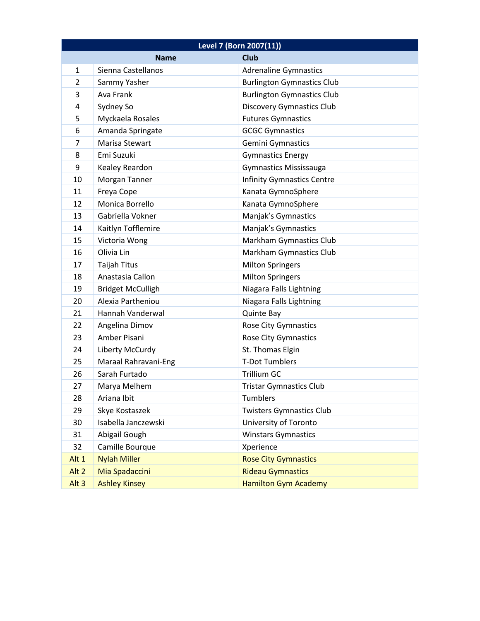| Level 7 (Born 2007(11)) |                          |                                   |
|-------------------------|--------------------------|-----------------------------------|
|                         | <b>Name</b>              | <b>Club</b>                       |
| $\mathbf{1}$            | Sienna Castellanos       | <b>Adrenaline Gymnastics</b>      |
| $\overline{2}$          | Sammy Yasher             | <b>Burlington Gymnastics Club</b> |
| 3                       | Ava Frank                | <b>Burlington Gymnastics Club</b> |
| 4                       | Sydney So                | <b>Discovery Gymnastics Club</b>  |
| 5                       | Myckaela Rosales         | <b>Futures Gymnastics</b>         |
| 6                       | Amanda Springate         | <b>GCGC Gymnastics</b>            |
| $\overline{7}$          | Marisa Stewart           | Gemini Gymnastics                 |
| 8                       | Emi Suzuki               | <b>Gymnastics Energy</b>          |
| 9                       | Kealey Reardon           | <b>Gymnastics Mississauga</b>     |
| 10                      | Morgan Tanner            | <b>Infinity Gymnastics Centre</b> |
| 11                      | Freya Cope               | Kanata GymnoSphere                |
| 12                      | Monica Borrello          | Kanata GymnoSphere                |
| 13                      | Gabriella Vokner         | Manjak's Gymnastics               |
| 14                      | Kaitlyn Tofflemire       | Manjak's Gymnastics               |
| 15                      | Victoria Wong            | Markham Gymnastics Club           |
| 16                      | Olivia Lin               | Markham Gymnastics Club           |
| 17                      | <b>Taijah Titus</b>      | <b>Milton Springers</b>           |
| 18                      | Anastasia Callon         | <b>Milton Springers</b>           |
| 19                      | <b>Bridget McCulligh</b> | Niagara Falls Lightning           |
| 20                      | Alexia Partheniou        | Niagara Falls Lightning           |
| 21                      | Hannah Vanderwal         | Quinte Bay                        |
| 22                      | Angelina Dimov           | Rose City Gymnastics              |
| 23                      | Amber Pisani             | Rose City Gymnastics              |
| 24                      | Liberty McCurdy          | St. Thomas Elgin                  |
| 25                      | Maraal Rahravani-Eng     | <b>T-Dot Tumblers</b>             |
| 26                      | Sarah Furtado            | <b>Trillium GC</b>                |
| 27                      | Marya Melhem             | <b>Tristar Gymnastics Club</b>    |
| 28                      | Ariana Ibit              | Tumblers                          |
| 29                      | Skye Kostaszek           | <b>Twisters Gymnastics Club</b>   |
| 30                      | Isabella Janczewski      | University of Toronto             |
| 31                      | Abigail Gough            | <b>Winstars Gymnastics</b>        |
| 32                      | Camille Bourque          | Xperience                         |
| Alt 1                   | <b>Nylah Miller</b>      | <b>Rose City Gymnastics</b>       |
| Alt <sub>2</sub>        | Mia Spadaccini           | <b>Rideau Gymnastics</b>          |
| Alt <sub>3</sub>        | <b>Ashley Kinsey</b>     | <b>Hamilton Gym Academy</b>       |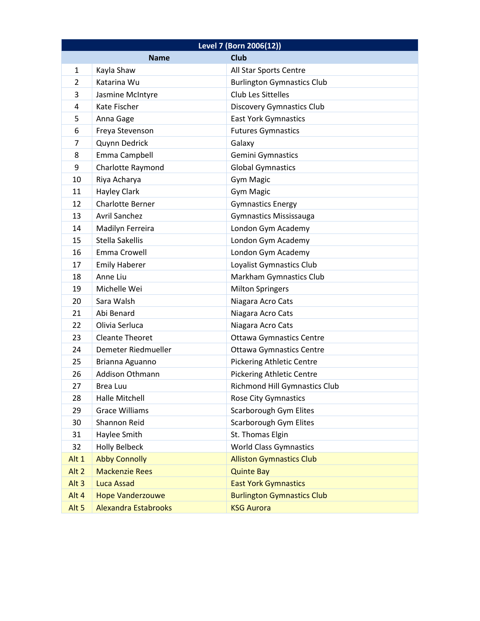| Level 7 (Born 2006(12)) |                             |                                      |
|-------------------------|-----------------------------|--------------------------------------|
|                         | <b>Name</b>                 | <b>Club</b>                          |
| $\mathbf{1}$            | Kayla Shaw                  | All Star Sports Centre               |
| $\overline{2}$          | Katarina Wu                 | <b>Burlington Gymnastics Club</b>    |
| 3                       | Jasmine McIntyre            | <b>Club Les Sittelles</b>            |
| 4                       | Kate Fischer                | <b>Discovery Gymnastics Club</b>     |
| 5                       | Anna Gage                   | <b>East York Gymnastics</b>          |
| 6                       | Freya Stevenson             | <b>Futures Gymnastics</b>            |
| 7                       | Quynn Dedrick               | Galaxy                               |
| 8                       | Emma Campbell               | Gemini Gymnastics                    |
| 9                       | Charlotte Raymond           | <b>Global Gymnastics</b>             |
| 10                      | Riya Acharya                | Gym Magic                            |
| 11                      | <b>Hayley Clark</b>         | Gym Magic                            |
| 12                      | <b>Charlotte Berner</b>     | <b>Gymnastics Energy</b>             |
| 13                      | <b>Avril Sanchez</b>        | <b>Gymnastics Mississauga</b>        |
| 14                      | Madilyn Ferreira            | London Gym Academy                   |
| 15                      | <b>Stella Sakellis</b>      | London Gym Academy                   |
| 16                      | <b>Emma Crowell</b>         | London Gym Academy                   |
| 17                      | <b>Emily Haberer</b>        | Loyalist Gymnastics Club             |
| 18                      | Anne Liu                    | Markham Gymnastics Club              |
| 19                      | Michelle Wei                | <b>Milton Springers</b>              |
| 20                      | Sara Walsh                  | Niagara Acro Cats                    |
| 21                      | Abi Benard                  | Niagara Acro Cats                    |
| 22                      | Olivia Serluca              | Niagara Acro Cats                    |
| 23                      | <b>Cleante Theoret</b>      | <b>Ottawa Gymnastics Centre</b>      |
| 24                      | Demeter Riedmueller         | <b>Ottawa Gymnastics Centre</b>      |
| 25                      | Brianna Aguanno             | <b>Pickering Athletic Centre</b>     |
| 26                      | Addison Othmann             | <b>Pickering Athletic Centre</b>     |
| 27                      | Brea Luu                    | <b>Richmond Hill Gymnastics Club</b> |
| 28                      | Halle Mitchell              | <b>Rose City Gymnastics</b>          |
| 29                      | <b>Grace Williams</b>       | Scarborough Gym Elites               |
| 30                      | <b>Shannon Reid</b>         | <b>Scarborough Gym Elites</b>        |
| 31                      | Haylee Smith                | St. Thomas Elgin                     |
| 32                      | <b>Holly Belbeck</b>        | <b>World Class Gymnastics</b>        |
| Alt 1                   | <b>Abby Connolly</b>        | <b>Alliston Gymnastics Club</b>      |
| Alt <sub>2</sub>        | <b>Mackenzie Rees</b>       | <b>Quinte Bay</b>                    |
| Alt <sub>3</sub>        | <b>Luca Assad</b>           | <b>East York Gymnastics</b>          |
| Alt 4                   | <b>Hope Vanderzouwe</b>     | <b>Burlington Gymnastics Club</b>    |
| Alt <sub>5</sub>        | <b>Alexandra Estabrooks</b> | <b>KSG Aurora</b>                    |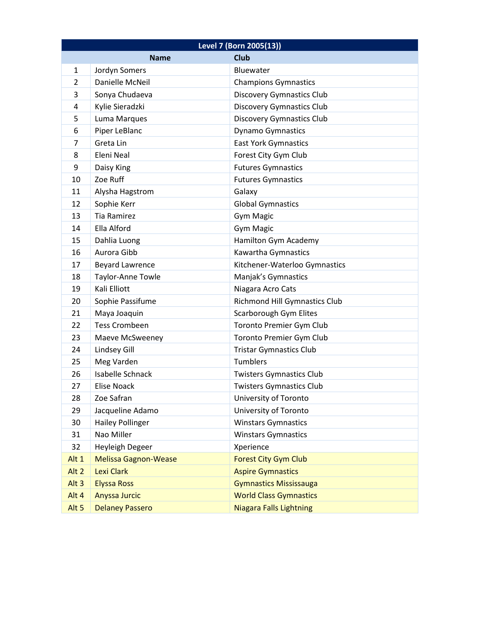| Level 7 (Born 2005(13)) |                             |                                      |
|-------------------------|-----------------------------|--------------------------------------|
|                         | <b>Name</b>                 | <b>Club</b>                          |
| 1                       | Jordyn Somers               | Bluewater                            |
| 2                       | Danielle McNeil             | <b>Champions Gymnastics</b>          |
| 3                       | Sonya Chudaeva              | <b>Discovery Gymnastics Club</b>     |
| 4                       | Kylie Sieradzki             | <b>Discovery Gymnastics Club</b>     |
| 5                       | Luma Marques                | <b>Discovery Gymnastics Club</b>     |
| 6                       | Piper LeBlanc               | <b>Dynamo Gymnastics</b>             |
| 7                       | Greta Lin                   | <b>East York Gymnastics</b>          |
| 8                       | Eleni Neal                  | Forest City Gym Club                 |
| 9                       | Daisy King                  | <b>Futures Gymnastics</b>            |
| 10                      | Zoe Ruff                    | <b>Futures Gymnastics</b>            |
| 11                      | Alysha Hagstrom             | Galaxy                               |
| 12                      | Sophie Kerr                 | <b>Global Gymnastics</b>             |
| 13                      | <b>Tia Ramirez</b>          | <b>Gym Magic</b>                     |
| 14                      | Ella Alford                 | <b>Gym Magic</b>                     |
| 15                      | Dahlia Luong                | Hamilton Gym Academy                 |
| 16                      | Aurora Gibb                 | Kawartha Gymnastics                  |
| 17                      | <b>Beyard Lawrence</b>      | Kitchener-Waterloo Gymnastics        |
| 18                      | Taylor-Anne Towle           | Manjak's Gymnastics                  |
| 19                      | Kali Elliott                | Niagara Acro Cats                    |
| 20                      | Sophie Passifume            | <b>Richmond Hill Gymnastics Club</b> |
| 21                      | Maya Joaquin                | Scarborough Gym Elites               |
| 22                      | <b>Tess Crombeen</b>        | Toronto Premier Gym Club             |
| 23                      | Maeve McSweeney             | Toronto Premier Gym Club             |
| 24                      | Lindsey Gill                | <b>Tristar Gymnastics Club</b>       |
| 25                      | Meg Varden                  | Tumblers                             |
| 26                      | <b>Isabelle Schnack</b>     | <b>Twisters Gymnastics Club</b>      |
| 27                      | <b>Elise Noack</b>          | <b>Twisters Gymnastics Club</b>      |
| 28                      | Zoe Safran                  | University of Toronto                |
| 29                      | Jacqueline Adamo            | University of Toronto                |
| 30                      | <b>Hailey Pollinger</b>     | <b>Winstars Gymnastics</b>           |
| 31                      | Nao Miller                  | <b>Winstars Gymnastics</b>           |
| 32                      | Heyleigh Degeer             | Xperience                            |
| Alt 1                   | <b>Melissa Gagnon-Wease</b> | <b>Forest City Gym Club</b>          |
| Alt <sub>2</sub>        | <b>Lexi Clark</b>           | <b>Aspire Gymnastics</b>             |
| Alt <sub>3</sub>        | <b>Elyssa Ross</b>          | <b>Gymnastics Mississauga</b>        |
| Alt 4                   | Anyssa Jurcic               | <b>World Class Gymnastics</b>        |
| Alt <sub>5</sub>        | <b>Delaney Passero</b>      | Niagara Falls Lightning              |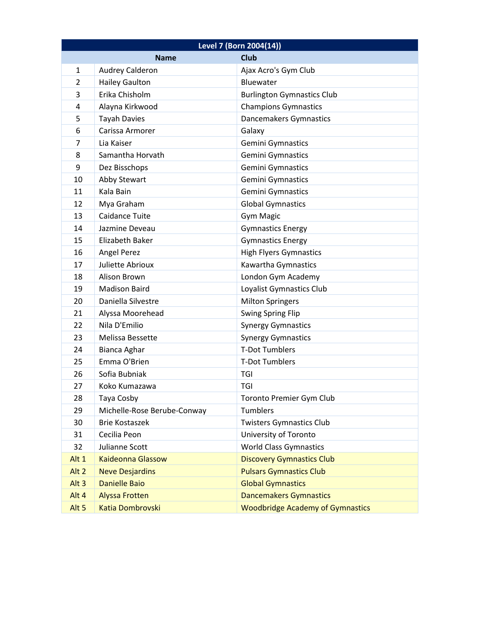| Level 7 (Born 2004(14)) |                             |                                         |
|-------------------------|-----------------------------|-----------------------------------------|
|                         | <b>Name</b>                 | <b>Club</b>                             |
| $\mathbf{1}$            | <b>Audrey Calderon</b>      | Ajax Acro's Gym Club                    |
| $\overline{2}$          | <b>Hailey Gaulton</b>       | Bluewater                               |
| 3                       | Erika Chisholm              | <b>Burlington Gymnastics Club</b>       |
| 4                       | Alayna Kirkwood             | <b>Champions Gymnastics</b>             |
| 5                       | <b>Tayah Davies</b>         | Dancemakers Gymnastics                  |
| 6                       | Carissa Armorer             | Galaxy                                  |
| 7                       | Lia Kaiser                  | Gemini Gymnastics                       |
| 8                       | Samantha Horvath            | Gemini Gymnastics                       |
| 9                       | Dez Bisschops               | Gemini Gymnastics                       |
| 10                      | Abby Stewart                | Gemini Gymnastics                       |
| 11                      | Kala Bain                   | Gemini Gymnastics                       |
| 12                      | Mya Graham                  | <b>Global Gymnastics</b>                |
| 13                      | Caidance Tuite              | Gym Magic                               |
| 14                      | Jazmine Deveau              | <b>Gymnastics Energy</b>                |
| 15                      | <b>Elizabeth Baker</b>      | <b>Gymnastics Energy</b>                |
| 16                      | Angel Perez                 | <b>High Flyers Gymnastics</b>           |
| 17                      | Juliette Abrioux            | Kawartha Gymnastics                     |
| 18                      | Alison Brown                | London Gym Academy                      |
| 19                      | <b>Madison Baird</b>        | Loyalist Gymnastics Club                |
| 20                      | Daniella Silvestre          | <b>Milton Springers</b>                 |
| 21                      | Alyssa Moorehead            | <b>Swing Spring Flip</b>                |
| 22                      | Nila D'Emilio               | <b>Synergy Gymnastics</b>               |
| 23                      | Melissa Bessette            | <b>Synergy Gymnastics</b>               |
| 24                      | Bianca Aghar                | <b>T-Dot Tumblers</b>                   |
| 25                      | Emma O'Brien                | <b>T-Dot Tumblers</b>                   |
| 26                      | Sofia Bubniak               | TGI                                     |
| 27                      | Koko Kumazawa               | <b>TGI</b>                              |
| 28                      | Taya Cosby                  | <b>Toronto Premier Gym Club</b>         |
| 29                      | Michelle-Rose Berube-Conway | Tumblers                                |
| 30                      | <b>Brie Kostaszek</b>       | <b>Twisters Gymnastics Club</b>         |
| 31                      | Cecilia Peon                | University of Toronto                   |
| 32                      | Julianne Scott              | <b>World Class Gymnastics</b>           |
| Alt 1                   | <b>Kaideonna Glassow</b>    | <b>Discovery Gymnastics Club</b>        |
| Alt <sub>2</sub>        | <b>Neve Desjardins</b>      | <b>Pulsars Gymnastics Club</b>          |
| Alt <sub>3</sub>        | <b>Danielle Baio</b>        | <b>Global Gymnastics</b>                |
| Alt 4                   | <b>Alyssa Frotten</b>       | <b>Dancemakers Gymnastics</b>           |
| Alt <sub>5</sub>        | Katia Dombrovski            | <b>Woodbridge Academy of Gymnastics</b> |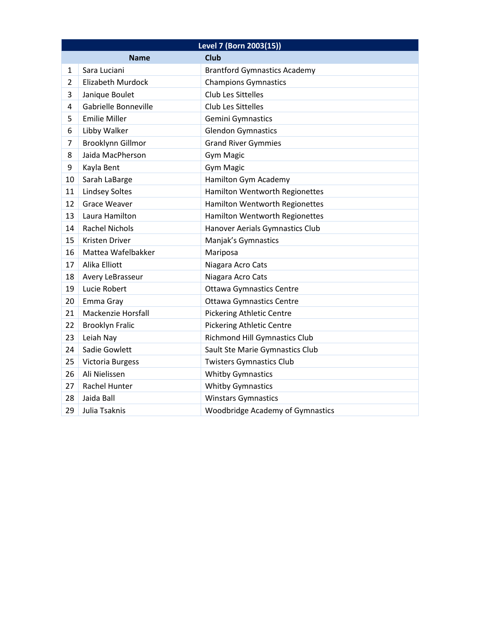| Level 7 (Born 2003(15)) |                          |                                         |
|-------------------------|--------------------------|-----------------------------------------|
|                         | <b>Name</b>              | <b>Club</b>                             |
| 1                       | Sara Luciani             | <b>Brantford Gymnastics Academy</b>     |
| $\overline{2}$          | <b>Elizabeth Murdock</b> | <b>Champions Gymnastics</b>             |
| 3                       | Janique Boulet           | <b>Club Les Sittelles</b>               |
| 4                       | Gabrielle Bonneville     | <b>Club Les Sittelles</b>               |
| 5                       | <b>Emilie Miller</b>     | Gemini Gymnastics                       |
| 6                       | Libby Walker             | <b>Glendon Gymnastics</b>               |
| 7                       | <b>Brooklynn Gillmor</b> | <b>Grand River Gymmies</b>              |
| 8                       | Jaida MacPherson         | Gym Magic                               |
| 9                       | Kayla Bent               | <b>Gym Magic</b>                        |
| 10                      | Sarah LaBarge            | Hamilton Gym Academy                    |
| 11                      | <b>Lindsey Soltes</b>    | Hamilton Wentworth Regionettes          |
| 12                      | <b>Grace Weaver</b>      | Hamilton Wentworth Regionettes          |
| 13                      | Laura Hamilton           | Hamilton Wentworth Regionettes          |
| 14                      | <b>Rachel Nichols</b>    | Hanover Aerials Gymnastics Club         |
| 15                      | Kristen Driver           | Manjak's Gymnastics                     |
| 16                      | Mattea Wafelbakker       | Mariposa                                |
| 17                      | Alika Elliott            | Niagara Acro Cats                       |
| 18                      | Avery LeBrasseur         | Niagara Acro Cats                       |
| 19                      | Lucie Robert             | <b>Ottawa Gymnastics Centre</b>         |
| 20                      | Emma Gray                | <b>Ottawa Gymnastics Centre</b>         |
| 21                      | Mackenzie Horsfall       | <b>Pickering Athletic Centre</b>        |
| 22                      | <b>Brooklyn Fralic</b>   | <b>Pickering Athletic Centre</b>        |
| 23                      | Leiah Nay                | <b>Richmond Hill Gymnastics Club</b>    |
| 24                      | Sadie Gowlett            | Sault Ste Marie Gymnastics Club         |
| 25                      | Victoria Burgess         | <b>Twisters Gymnastics Club</b>         |
| 26                      | Ali Nielissen            | <b>Whitby Gymnastics</b>                |
| 27                      | Rachel Hunter            | <b>Whitby Gymnastics</b>                |
| 28                      | Jaida Ball               | <b>Winstars Gymnastics</b>              |
| 29                      | Julia Tsaknis            | <b>Woodbridge Academy of Gymnastics</b> |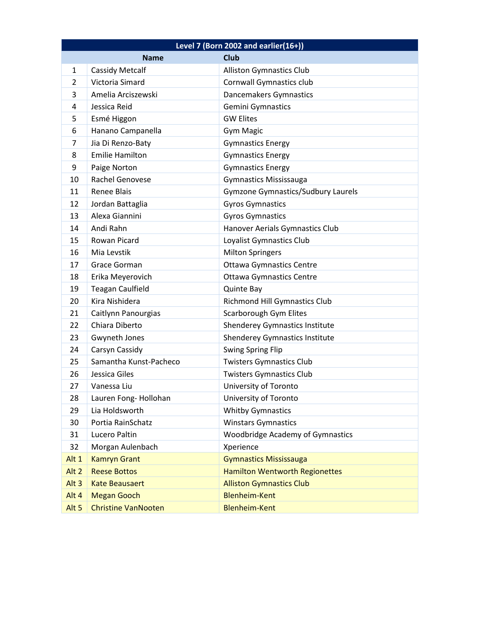| Level 7 (Born 2002 and earlier $(16+)$ ) |                            |                                           |
|------------------------------------------|----------------------------|-------------------------------------------|
|                                          | <b>Name</b>                | <b>Club</b>                               |
| $\mathbf{1}$                             | <b>Cassidy Metcalf</b>     | <b>Alliston Gymnastics Club</b>           |
| 2                                        | Victoria Simard            | <b>Cornwall Gymnastics club</b>           |
| 3                                        | Amelia Arciszewski         | Dancemakers Gymnastics                    |
| 4                                        | Jessica Reid               | Gemini Gymnastics                         |
| 5                                        | Esmé Higgon                | <b>GW Elites</b>                          |
| 6                                        | Hanano Campanella          | <b>Gym Magic</b>                          |
| 7                                        | Jia Di Renzo-Baty          | <b>Gymnastics Energy</b>                  |
| 8                                        | <b>Emilie Hamilton</b>     | <b>Gymnastics Energy</b>                  |
| 9                                        | Paige Norton               | <b>Gymnastics Energy</b>                  |
| 10                                       | <b>Rachel Genovese</b>     | <b>Gymnastics Mississauga</b>             |
| 11                                       | <b>Renee Blais</b>         | <b>Gymzone Gymnastics/Sudbury Laurels</b> |
| 12                                       | Jordan Battaglia           | <b>Gyros Gymnastics</b>                   |
| 13                                       | Alexa Giannini             | <b>Gyros Gymnastics</b>                   |
| 14                                       | Andi Rahn                  | Hanover Aerials Gymnastics Club           |
| 15                                       | Rowan Picard               | Loyalist Gymnastics Club                  |
| 16                                       | Mia Levstik                | <b>Milton Springers</b>                   |
| 17                                       | Grace Gorman               | <b>Ottawa Gymnastics Centre</b>           |
| 18                                       | Erika Meyerovich           | <b>Ottawa Gymnastics Centre</b>           |
| 19                                       | <b>Teagan Caulfield</b>    | <b>Quinte Bay</b>                         |
| 20                                       | Kira Nishidera             | <b>Richmond Hill Gymnastics Club</b>      |
| 21                                       | Caitlynn Panourgias        | Scarborough Gym Elites                    |
| 22                                       | Chiara Diberto             | <b>Shenderey Gymnastics Institute</b>     |
| 23                                       | Gwyneth Jones              | <b>Shenderey Gymnastics Institute</b>     |
| 24                                       | Carsyn Cassidy             | <b>Swing Spring Flip</b>                  |
| 25                                       | Samantha Kunst-Pacheco     | <b>Twisters Gymnastics Club</b>           |
| 26                                       | Jessica Giles              | <b>Twisters Gymnastics Club</b>           |
| 27                                       | Vanessa Liu                | University of Toronto                     |
| 28                                       | Lauren Fong- Hollohan      | University of Toronto                     |
| 29                                       | Lia Holdsworth             | <b>Whitby Gymnastics</b>                  |
| 30                                       | Portia RainSchatz          | <b>Winstars Gymnastics</b>                |
| 31                                       | Lucero Paltin              | Woodbridge Academy of Gymnastics          |
| 32                                       | Morgan Aulenbach           | Xperience                                 |
| Alt 1                                    | <b>Kamryn Grant</b>        | <b>Gymnastics Mississauga</b>             |
| Alt <sub>2</sub>                         | <b>Reese Bottos</b>        | <b>Hamilton Wentworth Regionettes</b>     |
| Alt <sub>3</sub>                         | <b>Kate Beausaert</b>      | <b>Alliston Gymnastics Club</b>           |
| Alt 4                                    | <b>Megan Gooch</b>         | <b>Blenheim-Kent</b>                      |
| Alt <sub>5</sub>                         | <b>Christine VanNooten</b> | <b>Blenheim-Kent</b>                      |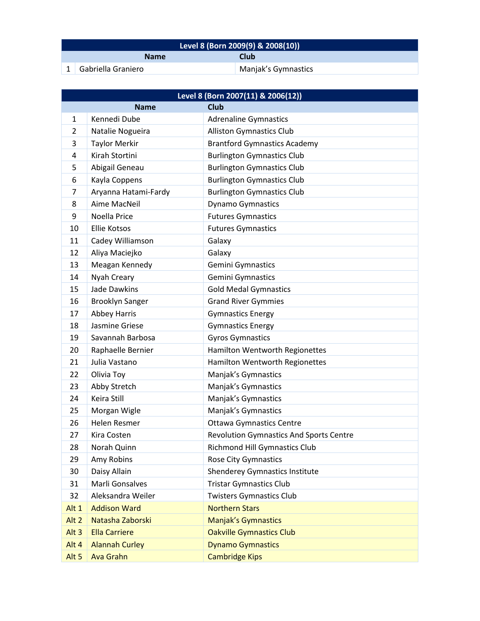| Level 8 (Born 2009(9) & 2008(10)) |                    |                     |
|-----------------------------------|--------------------|---------------------|
|                                   | <b>Name</b>        | Club                |
|                                   | Gabriella Graniero | Manjak's Gymnastics |

| Level 8 (Born 2007(11) & 2006(12)) |                        |                                                |  |
|------------------------------------|------------------------|------------------------------------------------|--|
| <b>Club</b><br><b>Name</b>         |                        |                                                |  |
| $\mathbf{1}$                       | Kennedi Dube           | <b>Adrenaline Gymnastics</b>                   |  |
| $\overline{2}$                     | Natalie Nogueira       | <b>Alliston Gymnastics Club</b>                |  |
| 3                                  | <b>Taylor Merkir</b>   | <b>Brantford Gymnastics Academy</b>            |  |
| 4                                  | Kirah Stortini         | <b>Burlington Gymnastics Club</b>              |  |
| 5                                  | Abigail Geneau         | <b>Burlington Gymnastics Club</b>              |  |
| 6                                  | Kayla Coppens          | <b>Burlington Gymnastics Club</b>              |  |
| 7                                  | Aryanna Hatami-Fardy   | <b>Burlington Gymnastics Club</b>              |  |
| 8                                  | Aime MacNeil           | <b>Dynamo Gymnastics</b>                       |  |
| 9                                  | Noella Price           | <b>Futures Gymnastics</b>                      |  |
| 10                                 | <b>Ellie Kotsos</b>    | <b>Futures Gymnastics</b>                      |  |
| 11                                 | Cadey Williamson       | Galaxy                                         |  |
| 12                                 | Aliya Maciejko         | Galaxy                                         |  |
| 13                                 | Meagan Kennedy         | <b>Gemini Gymnastics</b>                       |  |
| 14                                 | Nyah Creary            | <b>Gemini Gymnastics</b>                       |  |
| 15                                 | Jade Dawkins           | <b>Gold Medal Gymnastics</b>                   |  |
| 16                                 | <b>Brooklyn Sanger</b> | <b>Grand River Gymmies</b>                     |  |
| 17                                 | <b>Abbey Harris</b>    | <b>Gymnastics Energy</b>                       |  |
| 18                                 | Jasmine Griese         | <b>Gymnastics Energy</b>                       |  |
| 19                                 | Savannah Barbosa       | <b>Gyros Gymnastics</b>                        |  |
| 20                                 | Raphaelle Bernier      | Hamilton Wentworth Regionettes                 |  |
| 21                                 | Julia Vastano          | Hamilton Wentworth Regionettes                 |  |
| 22                                 | Olivia Toy             | Manjak's Gymnastics                            |  |
| 23                                 | Abby Stretch           | Manjak's Gymnastics                            |  |
| 24                                 | Keira Still            | Manjak's Gymnastics                            |  |
| 25                                 | Morgan Wigle           | Manjak's Gymnastics                            |  |
| 26                                 | Helen Resmer           | <b>Ottawa Gymnastics Centre</b>                |  |
| 27                                 | Kira Costen            | <b>Revolution Gymnastics And Sports Centre</b> |  |
| 28                                 | Norah Quinn            | <b>Richmond Hill Gymnastics Club</b>           |  |
| 29                                 | Amy Robins             | <b>Rose City Gymnastics</b>                    |  |
| 30                                 | Daisy Allain           | <b>Shenderey Gymnastics Institute</b>          |  |
| 31                                 | Marli Gonsalves        | <b>Tristar Gymnastics Club</b>                 |  |
| 32                                 | Aleksandra Weiler      | <b>Twisters Gymnastics Club</b>                |  |
| Alt 1                              | <b>Addison Ward</b>    | <b>Northern Stars</b>                          |  |
| Alt <sub>2</sub>                   | Natasha Zaborski       | <b>Manjak's Gymnastics</b>                     |  |
| Alt <sub>3</sub>                   | <b>Ella Carriere</b>   | <b>Oakville Gymnastics Club</b>                |  |
| Alt 4                              | <b>Alannah Curley</b>  | <b>Dynamo Gymnastics</b>                       |  |
| Alt <sub>5</sub>                   | <b>Ava Grahn</b>       | <b>Cambridge Kips</b>                          |  |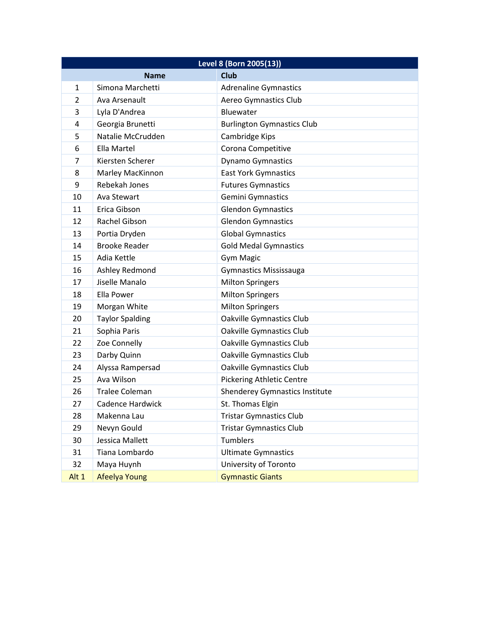| Level 8 (Born 2005(13)) |                        |                                   |
|-------------------------|------------------------|-----------------------------------|
|                         | <b>Name</b>            | <b>Club</b>                       |
| $\mathbf{1}$            | Simona Marchetti       | <b>Adrenaline Gymnastics</b>      |
| $\overline{2}$          | Ava Arsenault          | Aereo Gymnastics Club             |
| 3                       | Lyla D'Andrea          | Bluewater                         |
| 4                       | Georgia Brunetti       | <b>Burlington Gymnastics Club</b> |
| 5                       | Natalie McCrudden      | Cambridge Kips                    |
| 6                       | Ella Martel            | Corona Competitive                |
| 7                       | Kiersten Scherer       | <b>Dynamo Gymnastics</b>          |
| 8                       | Marley MacKinnon       | <b>East York Gymnastics</b>       |
| 9                       | Rebekah Jones          | <b>Futures Gymnastics</b>         |
| 10                      | Ava Stewart            | Gemini Gymnastics                 |
| 11                      | Erica Gibson           | <b>Glendon Gymnastics</b>         |
| 12                      | <b>Rachel Gibson</b>   | <b>Glendon Gymnastics</b>         |
| 13                      | Portia Dryden          | <b>Global Gymnastics</b>          |
| 14                      | <b>Brooke Reader</b>   | <b>Gold Medal Gymnastics</b>      |
| 15                      | Adia Kettle            | <b>Gym Magic</b>                  |
| 16                      | Ashley Redmond         | <b>Gymnastics Mississauga</b>     |
| 17                      | Jiselle Manalo         | <b>Milton Springers</b>           |
| 18                      | Ella Power             | <b>Milton Springers</b>           |
| 19                      | Morgan White           | <b>Milton Springers</b>           |
| 20                      | <b>Taylor Spalding</b> | <b>Oakville Gymnastics Club</b>   |
| 21                      | Sophia Paris           | <b>Oakville Gymnastics Club</b>   |
| 22                      | Zoe Connelly           | <b>Oakville Gymnastics Club</b>   |
| 23                      | Darby Quinn            | <b>Oakville Gymnastics Club</b>   |
| 24                      | Alyssa Rampersad       | <b>Oakville Gymnastics Club</b>   |
| 25                      | Ava Wilson             | <b>Pickering Athletic Centre</b>  |
| 26                      | <b>Tralee Coleman</b>  | Shenderey Gymnastics Institute    |
| 27                      | Cadence Hardwick       | St. Thomas Elgin                  |
| 28                      | Makenna Lau            | <b>Tristar Gymnastics Club</b>    |
| 29                      | Nevyn Gould            | <b>Tristar Gymnastics Club</b>    |
| 30                      | Jessica Mallett        | Tumblers                          |
| 31                      | Tiana Lombardo         | <b>Ultimate Gymnastics</b>        |
| 32                      | Maya Huynh             | University of Toronto             |
| Alt 1                   | <b>Afeelya Young</b>   | <b>Gymnastic Giants</b>           |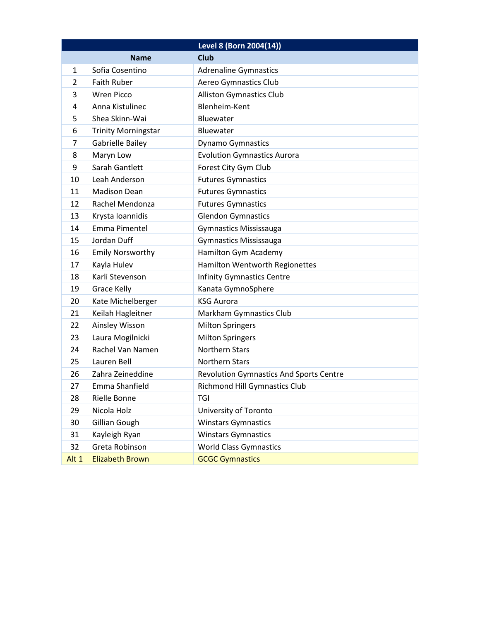|              |                            | Level 8 (Born 2004(14))                        |
|--------------|----------------------------|------------------------------------------------|
|              | <b>Name</b>                | <b>Club</b>                                    |
| $\mathbf{1}$ | Sofia Cosentino            | <b>Adrenaline Gymnastics</b>                   |
| 2            | <b>Faith Ruber</b>         | Aereo Gymnastics Club                          |
| 3            | <b>Wren Picco</b>          | <b>Alliston Gymnastics Club</b>                |
| 4            | Anna Kistulinec            | Blenheim-Kent                                  |
| 5            | Shea Skinn-Wai             | <b>Bluewater</b>                               |
| 6            | <b>Trinity Morningstar</b> | Bluewater                                      |
| 7            | <b>Gabrielle Bailey</b>    | Dynamo Gymnastics                              |
| 8            | Maryn Low                  | <b>Evolution Gymnastics Aurora</b>             |
| 9            | Sarah Gantlett             | Forest City Gym Club                           |
| 10           | Leah Anderson              | <b>Futures Gymnastics</b>                      |
| 11           | <b>Madison Dean</b>        | <b>Futures Gymnastics</b>                      |
| 12           | Rachel Mendonza            | <b>Futures Gymnastics</b>                      |
| 13           | Krysta Ioannidis           | <b>Glendon Gymnastics</b>                      |
| 14           | Emma Pimentel              | <b>Gymnastics Mississauga</b>                  |
| 15           | Jordan Duff                | <b>Gymnastics Mississauga</b>                  |
| 16           | <b>Emily Norsworthy</b>    | Hamilton Gym Academy                           |
| 17           | Kayla Hulev                | <b>Hamilton Wentworth Regionettes</b>          |
| 18           | Karli Stevenson            | <b>Infinity Gymnastics Centre</b>              |
| 19           | <b>Grace Kelly</b>         | Kanata GymnoSphere                             |
| 20           | Kate Michelberger          | <b>KSG Aurora</b>                              |
| 21           | Keilah Hagleitner          | Markham Gymnastics Club                        |
| 22           | Ainsley Wisson             | <b>Milton Springers</b>                        |
| 23           | Laura Mogilnicki           | <b>Milton Springers</b>                        |
| 24           | Rachel Van Namen           | <b>Northern Stars</b>                          |
| 25           | Lauren Bell                | <b>Northern Stars</b>                          |
| 26           | Zahra Zeineddine           | <b>Revolution Gymnastics And Sports Centre</b> |
| 27           | Emma Shanfield             | <b>Richmond Hill Gymnastics Club</b>           |
| 28           | Rielle Bonne               | TGI                                            |
| 29           | Nicola Holz                | University of Toronto                          |
| 30           | Gillian Gough              | <b>Winstars Gymnastics</b>                     |
| 31           | Kayleigh Ryan              | <b>Winstars Gymnastics</b>                     |
| 32           | Greta Robinson             | <b>World Class Gymnastics</b>                  |
| Alt 1        | <b>Elizabeth Brown</b>     | <b>GCGC Gymnastics</b>                         |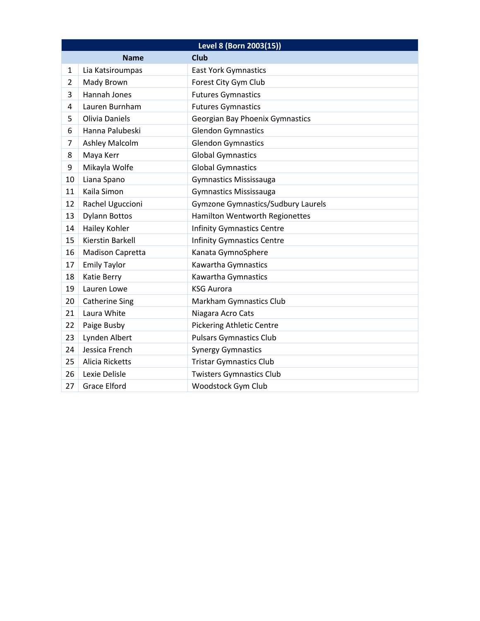| Level 8 (Born 2003(15)) |                        |                                           |
|-------------------------|------------------------|-------------------------------------------|
|                         | <b>Name</b>            | <b>Club</b>                               |
| 1                       | Lia Katsiroumpas       | <b>East York Gymnastics</b>               |
| 2                       | Mady Brown             | Forest City Gym Club                      |
| 3                       | Hannah Jones           | <b>Futures Gymnastics</b>                 |
| 4                       | Lauren Burnham         | <b>Futures Gymnastics</b>                 |
| 5                       | <b>Olivia Daniels</b>  | <b>Georgian Bay Phoenix Gymnastics</b>    |
| 6                       | Hanna Palubeski        | <b>Glendon Gymnastics</b>                 |
| 7                       | <b>Ashley Malcolm</b>  | <b>Glendon Gymnastics</b>                 |
| 8                       | Maya Kerr              | <b>Global Gymnastics</b>                  |
| 9                       | Mikayla Wolfe          | <b>Global Gymnastics</b>                  |
| 10                      | Liana Spano            | <b>Gymnastics Mississauga</b>             |
| 11                      | Kaila Simon            | <b>Gymnastics Mississauga</b>             |
| 12                      | Rachel Uguccioni       | <b>Gymzone Gymnastics/Sudbury Laurels</b> |
| 13                      | <b>Dylann Bottos</b>   | Hamilton Wentworth Regionettes            |
| 14                      | Hailey Kohler          | <b>Infinity Gymnastics Centre</b>         |
| 15                      | Kierstin Barkell       | <b>Infinity Gymnastics Centre</b>         |
| 16                      | Madison Capretta       | Kanata GymnoSphere                        |
| 17                      | <b>Emily Taylor</b>    | Kawartha Gymnastics                       |
| 18                      | Katie Berry            | Kawartha Gymnastics                       |
| 19                      | Lauren Lowe            | <b>KSG Aurora</b>                         |
| 20                      | <b>Catherine Sing</b>  | Markham Gymnastics Club                   |
| 21                      | Laura White            | Niagara Acro Cats                         |
| 22                      | Paige Busby            | <b>Pickering Athletic Centre</b>          |
| 23                      | Lynden Albert          | <b>Pulsars Gymnastics Club</b>            |
| 24                      | Jessica French         | <b>Synergy Gymnastics</b>                 |
| 25                      | <b>Alicia Ricketts</b> | <b>Tristar Gymnastics Club</b>            |
| 26                      | Lexie Delisle          | <b>Twisters Gymnastics Club</b>           |
| 27                      | <b>Grace Elford</b>    | Woodstock Gym Club                        |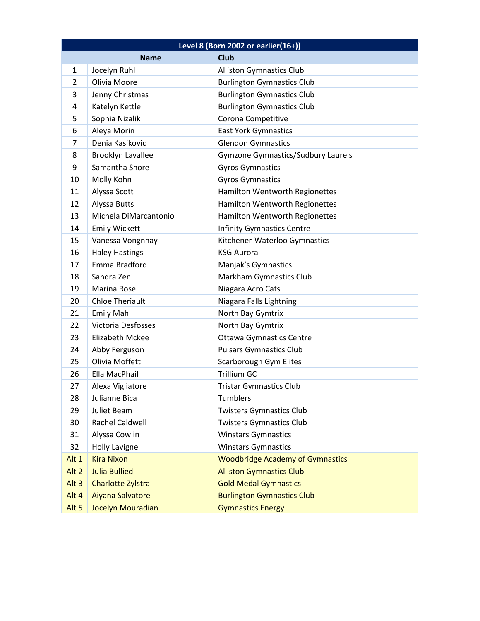| Level 8 (Born 2002 or earlier(16+)) |                           |                                         |  |
|-------------------------------------|---------------------------|-----------------------------------------|--|
|                                     | <b>Name</b>               | <b>Club</b>                             |  |
| $\mathbf{1}$                        | Jocelyn Ruhl              | <b>Alliston Gymnastics Club</b>         |  |
| $\overline{2}$                      | Olivia Moore              | <b>Burlington Gymnastics Club</b>       |  |
| 3                                   | Jenny Christmas           | <b>Burlington Gymnastics Club</b>       |  |
| 4                                   | Katelyn Kettle            | <b>Burlington Gymnastics Club</b>       |  |
| 5                                   | Sophia Nizalik            | Corona Competitive                      |  |
| 6                                   | Aleya Morin               | <b>East York Gymnastics</b>             |  |
| 7                                   | Denia Kasikovic           | <b>Glendon Gymnastics</b>               |  |
| 8                                   | Brooklyn Lavallee         | Gymzone Gymnastics/Sudbury Laurels      |  |
| 9                                   | Samantha Shore            | <b>Gyros Gymnastics</b>                 |  |
| 10                                  | Molly Kohn                | <b>Gyros Gymnastics</b>                 |  |
| 11                                  | Alyssa Scott              | Hamilton Wentworth Regionettes          |  |
| 12                                  | Alyssa Butts              | Hamilton Wentworth Regionettes          |  |
| 13                                  | Michela DiMarcantonio     | Hamilton Wentworth Regionettes          |  |
| 14                                  | <b>Emily Wickett</b>      | <b>Infinity Gymnastics Centre</b>       |  |
| 15                                  | Vanessa Vongnhay          | Kitchener-Waterloo Gymnastics           |  |
| 16                                  | <b>Haley Hastings</b>     | <b>KSG Aurora</b>                       |  |
| 17                                  | Emma Bradford             | Manjak's Gymnastics                     |  |
| 18                                  | Sandra Zeni               | Markham Gymnastics Club                 |  |
| 19                                  | Marina Rose               | Niagara Acro Cats                       |  |
| 20                                  | <b>Chloe Theriault</b>    | Niagara Falls Lightning                 |  |
| 21                                  | <b>Emily Mah</b>          | North Bay Gymtrix                       |  |
| 22                                  | <b>Victoria Desfosses</b> | North Bay Gymtrix                       |  |
| 23                                  | <b>Elizabeth Mckee</b>    | <b>Ottawa Gymnastics Centre</b>         |  |
| 24                                  | Abby Ferguson             | <b>Pulsars Gymnastics Club</b>          |  |
| 25                                  | Olivia Moffett            | Scarborough Gym Elites                  |  |
| 26                                  | Ella MacPhail             | Trillium GC                             |  |
| 27                                  | Alexa Vigliatore          | <b>Tristar Gymnastics Club</b>          |  |
| 28                                  | Julianne Bica             | <b>Tumblers</b>                         |  |
| 29                                  | Juliet Beam               | <b>Twisters Gymnastics Club</b>         |  |
| 30                                  | Rachel Caldwell           | <b>Twisters Gymnastics Club</b>         |  |
| 31                                  | Alyssa Cowlin             | <b>Winstars Gymnastics</b>              |  |
| 32                                  | <b>Holly Lavigne</b>      | <b>Winstars Gymnastics</b>              |  |
| Alt 1                               | <b>Kira Nixon</b>         | <b>Woodbridge Academy of Gymnastics</b> |  |
| Alt <sub>2</sub>                    | <b>Julia Bullied</b>      | <b>Alliston Gymnastics Club</b>         |  |
| Alt <sub>3</sub>                    | Charlotte Zylstra         | <b>Gold Medal Gymnastics</b>            |  |
| Alt 4                               | Aiyana Salvatore          | <b>Burlington Gymnastics Club</b>       |  |
| Alt <sub>5</sub>                    | Jocelyn Mouradian         | <b>Gymnastics Energy</b>                |  |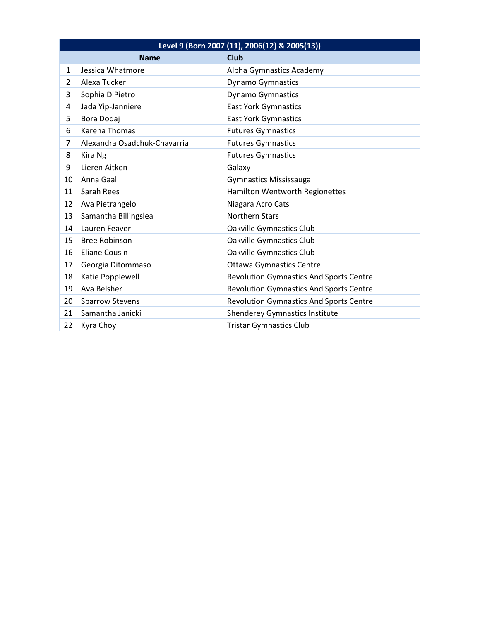| Level 9 (Born 2007 (11), 2006(12) & 2005(13)) |                              |                                                |
|-----------------------------------------------|------------------------------|------------------------------------------------|
|                                               | <b>Name</b>                  | <b>Club</b>                                    |
| $\mathbf{1}$                                  | Jessica Whatmore             | Alpha Gymnastics Academy                       |
| $\overline{2}$                                | Alexa Tucker                 | <b>Dynamo Gymnastics</b>                       |
| 3                                             | Sophia DiPietro              | Dynamo Gymnastics                              |
| 4                                             | Jada Yip-Janniere            | <b>East York Gymnastics</b>                    |
| 5                                             | Bora Dodaj                   | <b>East York Gymnastics</b>                    |
| 6                                             | Karena Thomas                | <b>Futures Gymnastics</b>                      |
| $\overline{7}$                                | Alexandra Osadchuk-Chavarria | <b>Futures Gymnastics</b>                      |
| 8                                             | Kira Ng                      | <b>Futures Gymnastics</b>                      |
| 9                                             | Lieren Aitken                | Galaxy                                         |
| 10                                            | Anna Gaal                    | <b>Gymnastics Mississauga</b>                  |
| 11                                            | Sarah Rees                   | Hamilton Wentworth Regionettes                 |
| 12                                            | Ava Pietrangelo              | Niagara Acro Cats                              |
| 13                                            | Samantha Billingslea         | <b>Northern Stars</b>                          |
| 14                                            | Lauren Feaver                | Oakville Gymnastics Club                       |
| 15                                            | <b>Bree Robinson</b>         | Oakville Gymnastics Club                       |
| 16                                            | Eliane Cousin                | Oakville Gymnastics Club                       |
| 17                                            | Georgia Ditommaso            | <b>Ottawa Gymnastics Centre</b>                |
| 18                                            | Katie Popplewell             | <b>Revolution Gymnastics And Sports Centre</b> |
| 19                                            | Ava Belsher                  | <b>Revolution Gymnastics And Sports Centre</b> |
| 20                                            | <b>Sparrow Stevens</b>       | Revolution Gymnastics And Sports Centre        |
| 21                                            | Samantha Janicki             | <b>Shenderey Gymnastics Institute</b>          |
| 22                                            | Kyra Choy                    | <b>Tristar Gymnastics Club</b>                 |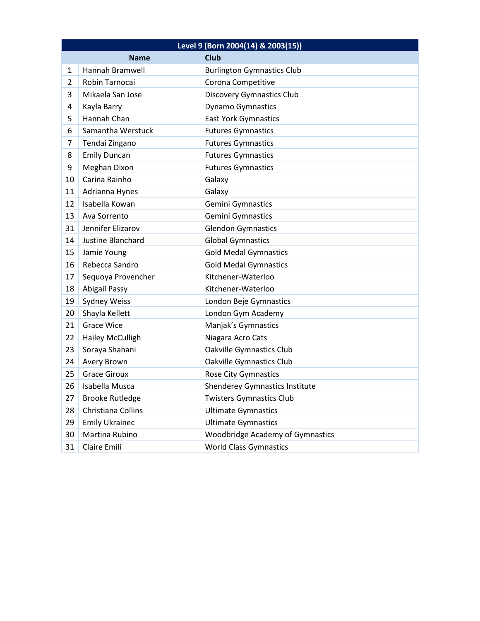| Level 9 (Born 2004(14) & 2003(15)) |                        |                                         |  |
|------------------------------------|------------------------|-----------------------------------------|--|
|                                    | <b>Name</b>            | <b>Club</b>                             |  |
| $\mathbf{1}$                       | Hannah Bramwell        | <b>Burlington Gymnastics Club</b>       |  |
| 2                                  | Robin Tarnocai         | Corona Competitive                      |  |
| 3                                  | Mikaela San Jose       | <b>Discovery Gymnastics Club</b>        |  |
| 4                                  | Kayla Barry            | Dynamo Gymnastics                       |  |
| 5                                  | Hannah Chan            | <b>East York Gymnastics</b>             |  |
| 6                                  | Samantha Werstuck      | <b>Futures Gymnastics</b>               |  |
| 7                                  | Tendai Zingano         | <b>Futures Gymnastics</b>               |  |
| 8                                  | <b>Emily Duncan</b>    | <b>Futures Gymnastics</b>               |  |
| 9                                  | Meghan Dixon           | <b>Futures Gymnastics</b>               |  |
| 10                                 | Carina Rainho          | Galaxy                                  |  |
| 11                                 | Adrianna Hynes         | Galaxy                                  |  |
| 12                                 | Isabella Kowan         | Gemini Gymnastics                       |  |
| 13                                 | Ava Sorrento           | Gemini Gymnastics                       |  |
| 31                                 | Jennifer Elizarov      | <b>Glendon Gymnastics</b>               |  |
| 14                                 | Justine Blanchard      | <b>Global Gymnastics</b>                |  |
| 15                                 | Jamie Young            | <b>Gold Medal Gymnastics</b>            |  |
| 16                                 | Rebecca Sandro         | <b>Gold Medal Gymnastics</b>            |  |
| 17                                 | Sequoya Provencher     | Kitchener-Waterloo                      |  |
| 18                                 | <b>Abigail Passy</b>   | Kitchener-Waterloo                      |  |
| 19                                 | <b>Sydney Weiss</b>    | London Beje Gymnastics                  |  |
| 20                                 | Shayla Kellett         | London Gym Academy                      |  |
| 21                                 | <b>Grace Wice</b>      | Manjak's Gymnastics                     |  |
| 22                                 | Hailey McCulligh       | Niagara Acro Cats                       |  |
| 23                                 | Soraya Shahani         | Oakville Gymnastics Club                |  |
| 24                                 | Avery Brown            | Oakville Gymnastics Club                |  |
| 25                                 | <b>Grace Giroux</b>    | <b>Rose City Gymnastics</b>             |  |
| 26                                 | Isabella Musca         | Shenderey Gymnastics Institute          |  |
| 27                                 | <b>Brooke Rutledge</b> | <b>Twisters Gymnastics Club</b>         |  |
| 28                                 | Christiana Collins     | <b>Ultimate Gymnastics</b>              |  |
| 29                                 | <b>Emily Ukrainec</b>  | <b>Ultimate Gymnastics</b>              |  |
| 30                                 | Martina Rubino         | <b>Woodbridge Academy of Gymnastics</b> |  |
| 31                                 | Claire Emili           | <b>World Class Gymnastics</b>           |  |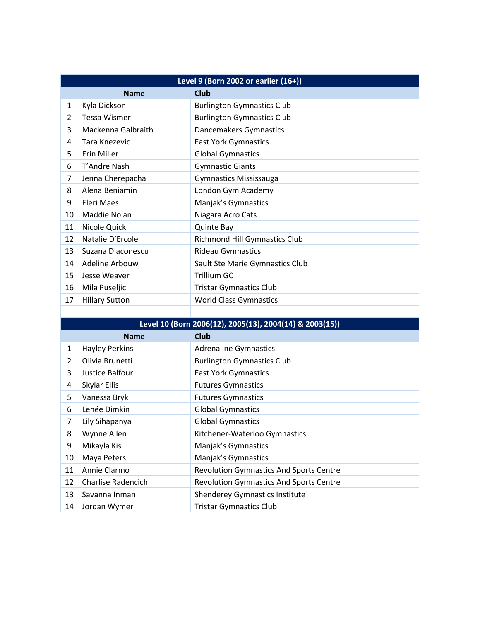| Level 9 (Born 2002 or earlier (16+)) |                       |                                      |  |
|--------------------------------------|-----------------------|--------------------------------------|--|
| <b>Club</b><br><b>Name</b>           |                       |                                      |  |
| 1                                    | Kyla Dickson          | <b>Burlington Gymnastics Club</b>    |  |
| 2                                    | Tessa Wismer          | <b>Burlington Gymnastics Club</b>    |  |
| 3                                    | Mackenna Galbraith    | Dancemakers Gymnastics               |  |
| 4                                    | Tara Knezevic         | <b>East York Gymnastics</b>          |  |
| 5                                    | Erin Miller           | <b>Global Gymnastics</b>             |  |
| 6                                    | T'Andre Nash          | <b>Gymnastic Giants</b>              |  |
| 7                                    | Jenna Cherepacha      | <b>Gymnastics Mississauga</b>        |  |
| 8                                    | Alena Beniamin        | London Gym Academy                   |  |
| 9                                    | Eleri Maes            | Manjak's Gymnastics                  |  |
| 10                                   | Maddie Nolan          | Niagara Acro Cats                    |  |
| 11                                   | Nicole Quick          | <b>Quinte Bay</b>                    |  |
| 12                                   | Natalie D'Ercole      | <b>Richmond Hill Gymnastics Club</b> |  |
| 13                                   | Suzana Diaconescu     | <b>Rideau Gymnastics</b>             |  |
| 14                                   | Adeline Arbouw        | Sault Ste Marie Gymnastics Club      |  |
| 15                                   | Jesse Weaver          | <b>Trillium GC</b>                   |  |
| 16                                   | Mila Puseljic         | <b>Tristar Gymnastics Club</b>       |  |
| 17                                   | <b>Hillary Sutton</b> | <b>World Class Gymnastics</b>        |  |
|                                      |                       |                                      |  |

| Level 10 (Born 2006(12), 2005(13), 2004(14) & 2003(15)) |                       |                                                |  |
|---------------------------------------------------------|-----------------------|------------------------------------------------|--|
| Club<br><b>Name</b>                                     |                       |                                                |  |
| 1                                                       | <b>Hayley Perkins</b> | <b>Adrenaline Gymnastics</b>                   |  |
| 2                                                       | Olivia Brunetti       | <b>Burlington Gymnastics Club</b>              |  |
| 3                                                       | Justice Balfour       | <b>East York Gymnastics</b>                    |  |
| 4                                                       | Skylar Ellis          | <b>Futures Gymnastics</b>                      |  |
| 5                                                       | Vanessa Bryk          | <b>Futures Gymnastics</b>                      |  |
| 6                                                       | Lenée Dimkin          | <b>Global Gymnastics</b>                       |  |
| 7                                                       | Lily Sihapanya        | <b>Global Gymnastics</b>                       |  |
| 8                                                       | Wynne Allen           | Kitchener-Waterloo Gymnastics                  |  |
| 9                                                       | Mikayla Kis           | Manjak's Gymnastics                            |  |
| 10                                                      | Maya Peters           | Manjak's Gymnastics                            |  |
| 11                                                      | Annie Clarmo          | <b>Revolution Gymnastics And Sports Centre</b> |  |
| 12                                                      | Charlise Radencich    | <b>Revolution Gymnastics And Sports Centre</b> |  |
| 13                                                      | Savanna Inman         | <b>Shenderey Gymnastics Institute</b>          |  |
| 14                                                      | Jordan Wymer          | <b>Tristar Gymnastics Club</b>                 |  |